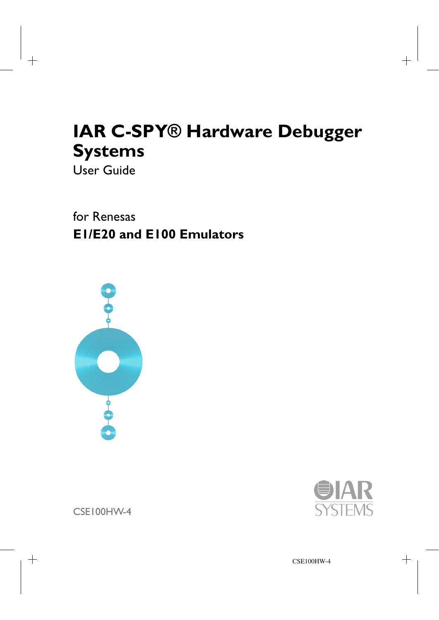# **IAR C-SPY® Hardware Debugger Systems**

User Guide

for Renesas **E1/E20 and E100 Emulators**





CSE100HW-4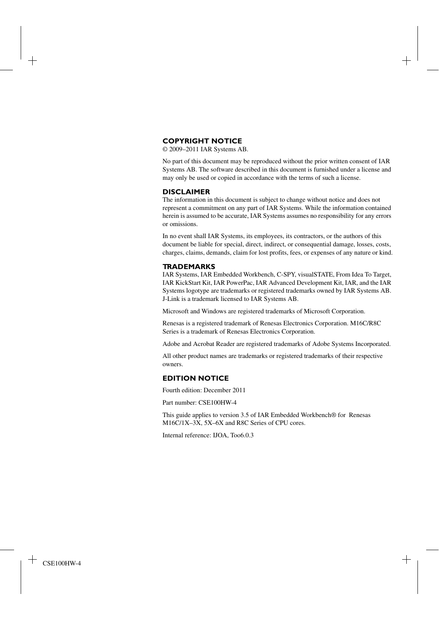## **COPYRIGHT NOTICE**

© 2009–2011 IAR Systems AB.

No part of this document may be reproduced without the prior written consent of IAR Systems AB. The software described in this document is furnished under a license and may only be used or copied in accordance with the terms of such a license.

## **DISCLAIMER**

The information in this document is subject to change without notice and does not represent a commitment on any part of IAR Systems. While the information contained herein is assumed to be accurate, IAR Systems assumes no responsibility for any errors or omissions.

In no event shall IAR Systems, its employees, its contractors, or the authors of this document be liable for special, direct, indirect, or consequential damage, losses, costs, charges, claims, demands, claim for lost profits, fees, or expenses of any nature or kind.

## **TRADEMARKS**

IAR Systems, IAR Embedded Workbench, C-SPY, visualSTATE, From Idea To Target, IAR KickStart Kit, IAR PowerPac, IAR Advanced Development Kit, IAR, and the IAR Systems logotype are trademarks or registered trademarks owned by IAR Systems AB. J-Link is a trademark licensed to IAR Systems AB.

Microsoft and Windows are registered trademarks of Microsoft Corporation.

Renesas is a registered trademark of Renesas Electronics Corporation. M16C/R8C Series is a trademark of Renesas Electronics Corporation.

Adobe and Acrobat Reader are registered trademarks of Adobe Systems Incorporated.

All other product names are trademarks or registered trademarks of their respective owners.

## **EDITION NOTICE**

Fourth edition: December 2011

Part number: CSE100HW-4

This guide applies to version 3.5 of IAR Embedded Workbench® for Renesas M16C/1X–3X, 5X–6X and R8C Series of CPU cores.

Internal reference: IJOA, Too6.0.3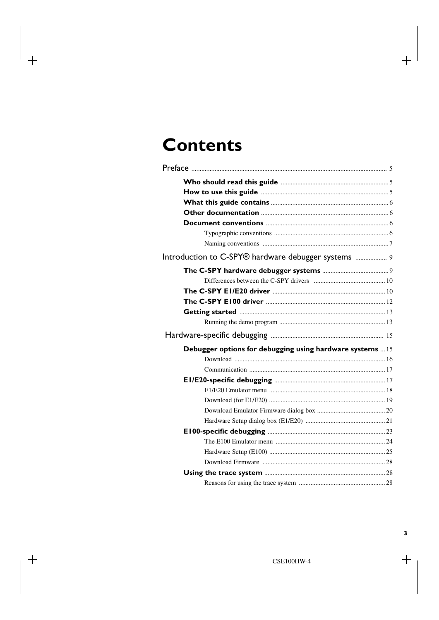## **Contents**

| Introduction to C-SPY® hardware debugger systems  9       |  |
|-----------------------------------------------------------|--|
|                                                           |  |
|                                                           |  |
|                                                           |  |
|                                                           |  |
|                                                           |  |
|                                                           |  |
|                                                           |  |
| Debugger options for debugging using hardware systems  15 |  |
|                                                           |  |
|                                                           |  |
|                                                           |  |
|                                                           |  |
|                                                           |  |
|                                                           |  |
|                                                           |  |
|                                                           |  |
|                                                           |  |
|                                                           |  |
|                                                           |  |
|                                                           |  |
|                                                           |  |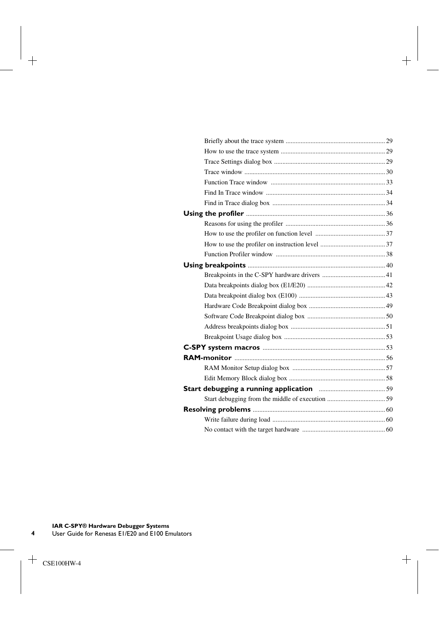**4**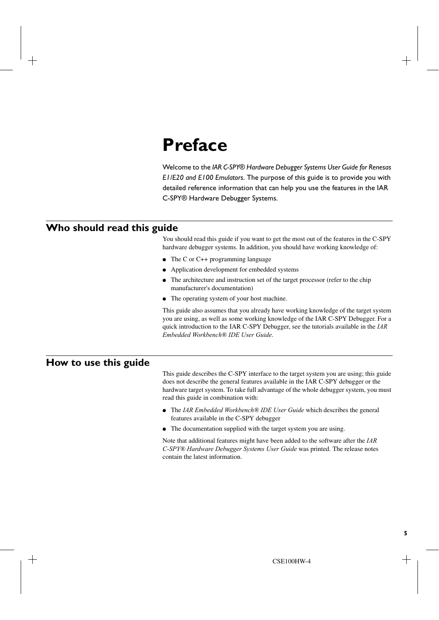## <span id="page-4-0"></span>**Preface**

Welcome to the *IAR C-SPY® Hardware Debugger Systems User Guide for Renesas E1/E20 and E100 Emulators*. The purpose of this guide is to provide you with detailed reference information that can help you use the features in the IAR C-SPY® Hardware Debugger Systems.

## <span id="page-4-1"></span>**Who should read this guide**

You should read this guide if you want to get the most out of the features in the C-SPY hardware debugger systems. In addition, you should have working knowledge of:

- $\bullet$  The C or C++ programming language
- Application development for embedded systems
- The architecture and instruction set of the target processor (refer to the chip manufacturer's documentation)
- The operating system of your host machine.

This guide also assumes that you already have working knowledge of the target system you are using, as well as some working knowledge of the IAR C-SPY Debugger. For a quick introduction to the IAR C-SPY Debugger, see the tutorials available in the *IAR Embedded Workbench® IDE User Guide*.

## <span id="page-4-2"></span>**How to use this guide**

This guide describes the C-SPY interface to the target system you are using; this guide does not describe the general features available in the IAR C-SPY debugger or the hardware target system. To take full advantage of the whole debugger system, you must read this guide in combination with:

- The *IAR Embedded Workbench® IDE User Guide* which describes the general features available in the C-SPY debugger
- The documentation supplied with the target system you are using.

Note that additional features might have been added to the software after the *IAR C-SPY® Hardware Debugger Systems User Guide* was printed. The release notes contain the latest information.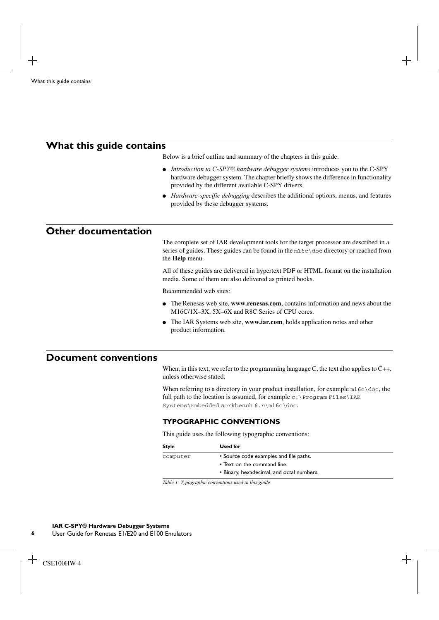## <span id="page-5-0"></span>**What this guide contains**

Below is a brief outline and summary of the chapters in this guide.

- *[Introduction to C-SPY® hardware debugger systems](#page-8-2)* introduces you to the C-SPY hardware debugger system. The chapter briefly shows the difference in functionality provided by the different available C-SPY drivers.
- *[Hardware-specific debugging](#page-14-2)* describes the additional options, menus, and features provided by these debugger systems.

## <span id="page-5-1"></span>**Other documentation**

The complete set of IAR development tools for the target processor are described in a series of guides. These guides can be found in the  $m16c\ddot{\circ}c$  directory or reached from the **Help** menu.

All of these guides are delivered in hypertext PDF or HTML format on the installation media. Some of them are also delivered as printed books.

Recommended web sites:

- The Renesas web site, **www.renesas.com**, contains information and news about the M16C/1X–3X, 5X–6X and R8C Series of CPU cores.
- The IAR Systems web site, **www.iar.com**, holds application notes and other product information.

## <span id="page-5-2"></span>**Document conventions**

When, in this text, we refer to the programming language C, the text also applies to C++, unless otherwise stated.

When referring to a directory in your product installation, for example  $m16c\ldots$ , the full path to the location is assumed, for example  $c:\Perogram \text{ Files} \text{IAR}$ Systems\Embedded Workbench 6.*n*\m16c\doc.

## <span id="page-5-3"></span>**TYPOGRAPHIC CONVENTIONS**

This guide uses the following typographic conventions:

| Style    | Used for                                  |
|----------|-------------------------------------------|
| computer | • Source code examples and file paths.    |
|          | • Text on the command line.               |
|          | • Binary, hexadecimal, and octal numbers. |

*Table 1: Typographic conventions used in this guide*

**6**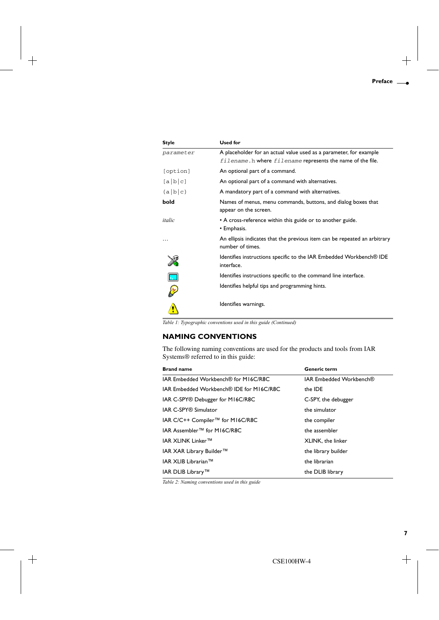| <b>Style</b>             | <b>Used for</b>                                                                                                                   |
|--------------------------|-----------------------------------------------------------------------------------------------------------------------------------|
| parameter                | A placeholder for an actual value used as a parameter, for example<br>filename. h where filename represents the name of the file. |
| [option]                 | An optional part of a command.                                                                                                    |
| [a b c]                  | An optional part of a command with alternatives.                                                                                  |
| ${a b c}$                | A mandatory part of a command with alternatives.                                                                                  |
| bold                     | Names of menus, menu commands, buttons, and dialog boxes that<br>appear on the screen.                                            |
| italic                   | • A cross-reference within this guide or to another guide.<br>• Emphasis.                                                         |
|                          | An ellipsis indicates that the previous item can be repeated an arbitrary<br>number of times.                                     |
|                          | Identifies instructions specific to the IAR Embedded Workbench® IDE<br>interface.                                                 |
| $\overline{\phantom{0}}$ | Identifies instructions specific to the command line interface.                                                                   |
|                          | Identifies helpful tips and programming hints.                                                                                    |
|                          | Identifies warnings.                                                                                                              |

*Table 1: Typographic conventions used in this guide (Continued)*

## <span id="page-6-0"></span>**NAMING CONVENTIONS**

The following naming conventions are used for the products and tools from IAR Systems® referred to in this guide:

| <b>Brand name</b>                            | <b>Generic term</b>     |
|----------------------------------------------|-------------------------|
| IAR Embedded Workbench® for M16C/R8C         | IAR Embedded Workbench® |
| IAR Embedded Workbench® IDE for MI6C/R8C     | the IDE                 |
| IAR C-SPY® Debugger for M16C/R8C             | C-SPY, the debugger     |
| IAR C-SPY® Simulator                         | the simulator           |
| IAR C/C++ Compiler <sup>™</sup> for M16C/R8C | the compiler            |
| IAR Assembler™ for M16C/R8C                  | the assembler           |
| IAR XLINK Linker™                            | XLINK, the linker       |
| IAR XAR Library Builder™                     | the library builder     |
| IAR XLIB Librarian™                          | the librarian           |
| IAR DLIB Library™                            | the DLIB library        |

*Table 2: Naming conventions used in this guide*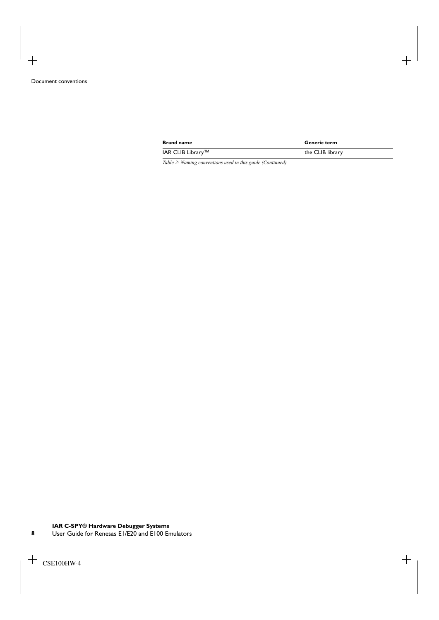| <b>Brand name</b> | <b>Generic term</b> |
|-------------------|---------------------|
| IAR CLIB Library™ | the CLIB library    |

*Table 2: Naming conventions used in this guide (Continued)*

**8**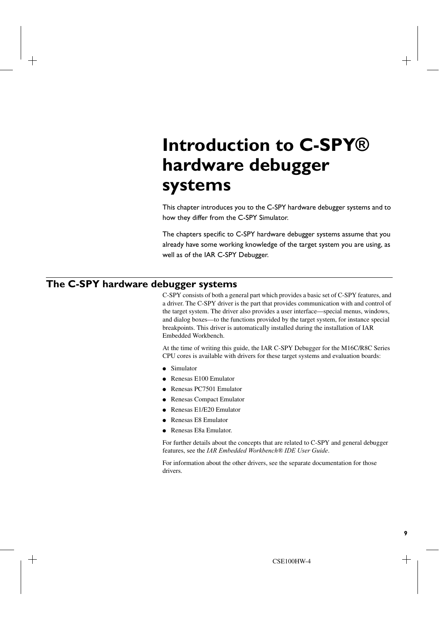## <span id="page-8-2"></span><span id="page-8-0"></span>**Introduction to C-SPY® hardware debugger systems**

This chapter introduces you to the C-SPY hardware debugger systems and to how they differ from the C-SPY Simulator.

The chapters specific to C-SPY hardware debugger systems assume that you already have some working knowledge of the target system you are using, as well as of the IAR C-SPY Debugger.

## <span id="page-8-1"></span>**The C-SPY hardware debugger systems**

C-SPY consists of both a general part which provides a basic set of C-SPY features, and a driver. The C-SPY driver is the part that provides communication with and control of the target system. The driver also provides a user interface—special menus, windows, and dialog boxes—to the functions provided by the target system, for instance special breakpoints. This driver is automatically installed during the installation of IAR Embedded Workbench.

At the time of writing this guide, the IAR C-SPY Debugger for the M16C/R8C Series CPU cores is available with drivers for these target systems and evaluation boards:

- Simulator
- Renesas E100 Emulator
- Renesas PC7501 Emulator
- Renesas Compact Emulator
- Renesas E1/E20 Emulator
- Renesas E8 Emulator
- Renesas E8a Emulator.

For further details about the concepts that are related to C-SPY and general debugger features, see the *IAR Embedded Workbench® IDE User Guide*.

For information about the other drivers, see the separate documentation for those drivers.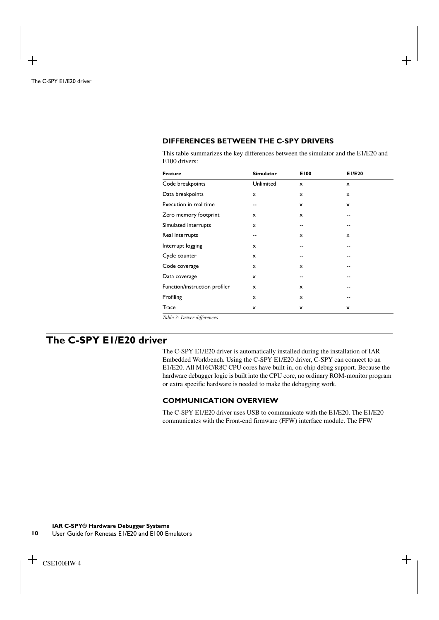## <span id="page-9-0"></span>**DIFFERENCES BETWEEN THE C-SPY DRIVERS**

This table summarizes the key differences between the simulator and the E1/E20 and E100 drivers:

| Feature                       | <b>Simulator</b>          | E100 | E1/E20 |
|-------------------------------|---------------------------|------|--------|
| Code breakpoints              | Unlimited                 | x    | x      |
| Data breakpoints              | $\mathsf{x}$              | x    | x      |
| Execution in real time        | --                        | x    | x      |
| Zero memory footprint         | x                         | x    | --     |
| Simulated interrupts          | $\mathsf{x}$              | --   | --     |
| Real interrupts               | --                        | x    | x      |
| Interrupt logging             | x                         |      | --     |
| Cycle counter                 | $\mathsf{x}$              |      |        |
| Code coverage                 | $\boldsymbol{\mathsf{x}}$ | x    |        |
| Data coverage                 | x                         | --   |        |
| Function/instruction profiler | x                         | x    |        |
| Profiling                     | $\mathsf{x}$              | x    | --     |
| Trace                         | x                         | x    | x      |
| Table 3: Driver differences   |                           |      |        |

## <span id="page-9-1"></span>**The C-SPY E1/E20 driver**

The C-SPY E1/E20 driver is automatically installed during the installation of IAR Embedded Workbench. Using the C-SPY E1/E20 driver, C-SPY can connect to an E1/E20. All M16C/R8C CPU cores have built-in, on-chip debug support. Because the hardware debugger logic is built into the CPU core, no ordinary ROM-monitor program or extra specific hardware is needed to make the debugging work.

## **COMMUNICATION OVERVIEW**

The C-SPY E1/E20 driver uses USB to communicate with the E1/E20. The E1/E20 communicates with the Front-end firmware (FFW) interface module. The FFW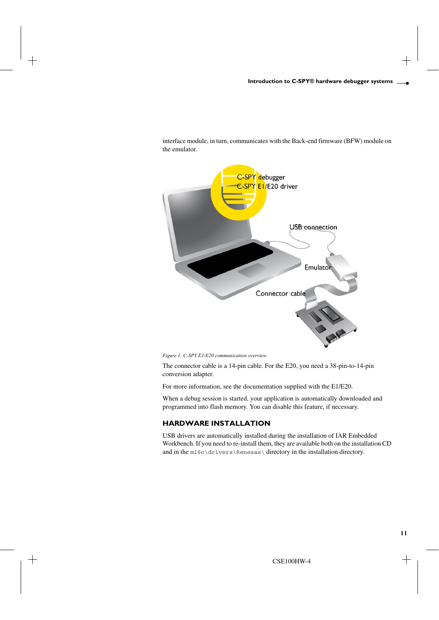

interface module, in turn, communicates with the Back-end firmware (BFW) module on the emulator.

*Figure 1: C-SPY E1/E20 communication overview*

The connector cable is a 14-pin cable. For the E20, you need a 38-pin-to-14-pin conversion adapter.

For more information, see the documentation supplied with the E1/E20.

When a debug session is started, your application is automatically downloaded and programmed into flash memory. You can disable this feature, if necessary.

## **HARDWARE INSTALLATION**

USB drivers are automatically installed during the installation of IAR Embedded Workbench. If you need to re-install them, they are available both on the installation CD and in the m16c\drivers\Renesas\ directory in the installation directory.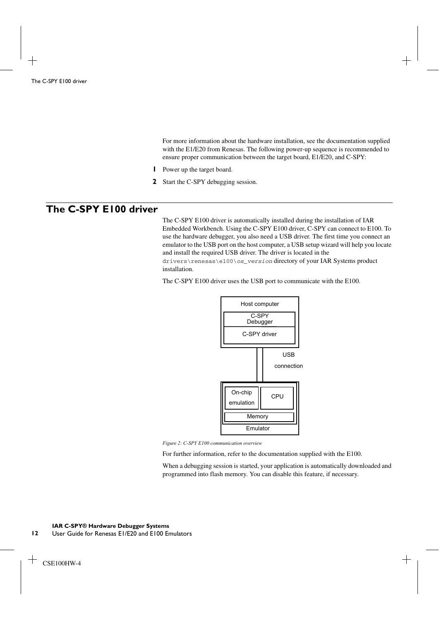For more information about the hardware installation, see the documentation supplied with the E1/E20 from Renesas. The following power-up sequence is recommended to ensure proper communication between the target board, E1/E20, and C-SPY:

- **1** Power up the target board.
- **2** Start the C-SPY debugging session.

## <span id="page-11-0"></span>**The C-SPY E100 driver**

The C-SPY E100 driver is automatically installed during the installation of IAR Embedded Workbench. Using the C-SPY E100 driver, C-SPY can connect to E100. To use the hardware debugger, you also need a USB driver. The first time you connect an emulator to the USB port on the host computer, a USB setup wizard will help you locate and install the required USB driver. The driver is located in the drivers\renesas\e100\*os\_version* directory of your IAR Systems product installation.

The C-SPY E100 driver uses the USB port to communicate with the E100.



*Figure 2: C-SPY E100 communication overview*

For further information, refer to the documentation supplied with the E100.

When a debugging session is started, your application is automatically downloaded and programmed into flash memory. You can disable this feature, if necessary.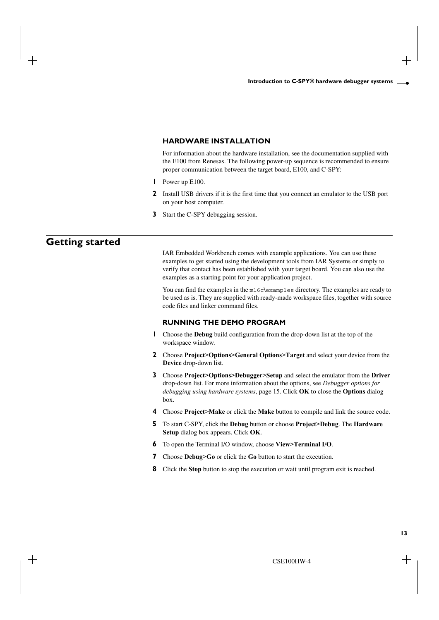## **HARDWARE INSTALLATION**

For information about the hardware installation, see the documentation supplied with the E100 from Renesas. The following power-up sequence is recommended to ensure proper communication between the target board, E100, and C-SPY:

- **1** Power up E100.
- **2** Install USB drivers if it is the first time that you connect an emulator to the USB port on your host computer.
- **3** Start the C-SPY debugging session.

## <span id="page-12-0"></span>**Getting started**

IAR Embedded Workbench comes with example applications. You can use these examples to get started using the development tools from IAR Systems or simply to verify that contact has been established with your target board. You can also use the examples as a starting point for your application project.

You can find the examples in the m<sub>16c</sub> examples directory. The examples are ready to be used as is. They are supplied with ready-made workspace files, together with source code files and linker command files.

## <span id="page-12-1"></span>**RUNNING THE DEMO PROGRAM**

- **1** Choose the **Debug** build configuration from the drop-down list at the top of the workspace window.
- **2** Choose **Project>Options>General Options>Target** and select your device from the **Device** drop-down list.
- **3** Choose **Project>Options>Debugger>Setup** and select the emulator from the **Driver** drop-down list. For more information about the options, see *[Debugger options for](#page-14-3)  [debugging using hardware systems](#page-14-3)*, page 15. Click **OK** to close the **Options** dialog box.
- **4** Choose **Project>Make** or click the **Make** button to compile and link the source code.
- **5** To start C-SPY, click the **Debug** button or choose **Project>Debug**. The **Hardware Setup** dialog box appears. Click **OK**.
- **6** To open the Terminal I/O window, choose **View>Terminal I/O**.
- **7** Choose **Debug>Go** or click the **Go** button to start the execution.
- **8** Click the **Stop** button to stop the execution or wait until program exit is reached.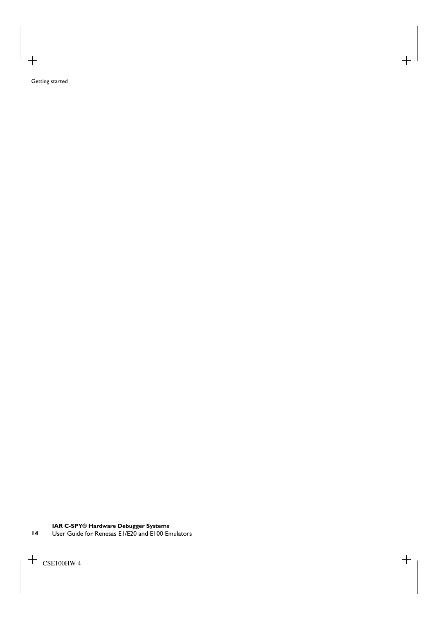Getting started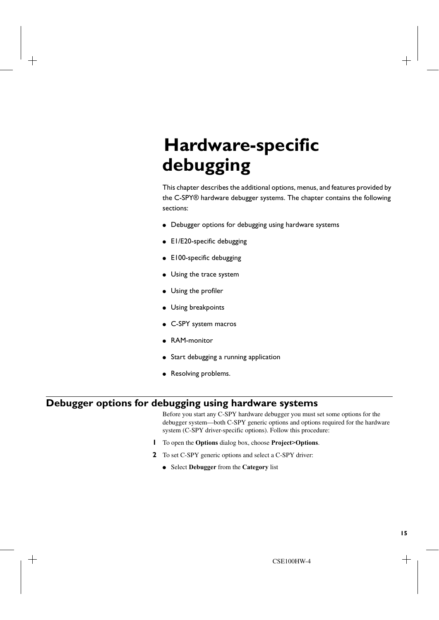# <span id="page-14-2"></span><span id="page-14-0"></span>**Hardware-specific debugging**

This chapter describes the additional options, menus, and features provided by the C-SPY® hardware debugger systems. The chapter contains the following sections:

- [Debugger options for debugging using hardware systems](#page-14-1)
- [E1/E20-specific debugging](#page-16-1)
- [E100-specific debugging](#page-22-0)
- [Using the trace system](#page-27-1)
- [Using the profiler](#page-35-0)
- [Using breakpoints](#page-39-0)
- [C-SPY system macros](#page-52-1)
- [RAM-monitor](#page-55-0)
- [Start debugging a running application](#page-58-0)
- [Resolving problems.](#page-59-0)

## <span id="page-14-3"></span><span id="page-14-1"></span>**Debugger options for debugging using hardware systems**

Before you start any C-SPY hardware debugger you must set some options for the debugger system—both C-SPY generic options and options required for the hardware system (C-SPY driver-specific options). Follow this procedure:

- **1** To open the **Options** dialog box, choose **Project>Options**.
- **2** To set C-SPY generic options and select a C-SPY driver:
	- Select **Debugger** from the **Category** list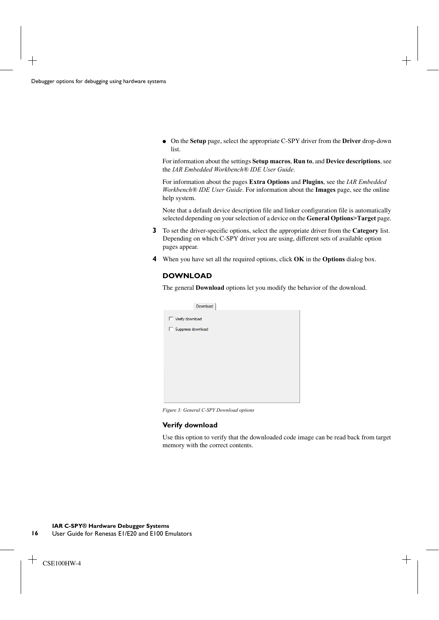● On the **Setup** page, select the appropriate C-SPY driver from the **Driver** drop-down list.

For information about the settings **Setup macros**, **Run to**, and **Device descriptions**, see the *IAR Embedded Workbench® IDE User Guide*.

For information about the pages **Extra Options** and **Plugins**, see the *IAR Embedded Workbench® IDE User Guide*. For information about the **Images** page, see the online help system.

Note that a default device description file and linker configuration file is automatically selected depending on your selection of a device on the **General Options>Target** page.

- **3** To set the driver-specific options, select the appropriate driver from the **Category** list. Depending on which C-SPY driver you are using, different sets of available option pages appear.
- **4** When you have set all the required options, click **OK** in the **Options** dialog box.

## <span id="page-15-0"></span>**DOWNLOAD**

The general **Download** options let you modify the behavior of the download.

| Download          |  |
|-------------------|--|
| Verify download   |  |
| Suppress download |  |
|                   |  |
|                   |  |
|                   |  |
|                   |  |
|                   |  |
|                   |  |

*Figure 3: General C-SPY Download options*

## **Verify download**

Use this option to verify that the downloaded code image can be read back from target memory with the correct contents.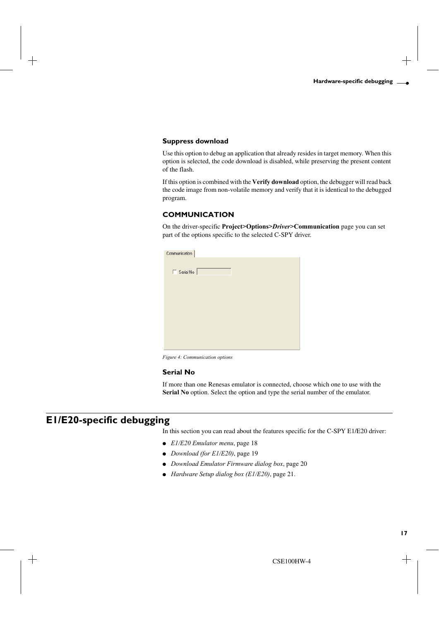## **Suppress download**

Use this option to debug an application that already resides in target memory. When this option is selected, the code download is disabled, while preserving the present content of the flash.

If this option is combined with the **Verify download** option, the debugger will read back the code image from non-volatile memory and verify that it is identical to the debugged program.

## <span id="page-16-0"></span>**COMMUNICATION**

On the driver-specific **Project>Options>***Driver***>Communication** page you can set part of the options specific to the selected C-SPY driver.

| Communication    |  |
|------------------|--|
|                  |  |
| $\Box$ Serial No |  |
|                  |  |
|                  |  |
|                  |  |
|                  |  |
|                  |  |
|                  |  |
|                  |  |
|                  |  |
|                  |  |

*Figure 4: Communication options*

## **Serial No**

If more than one Renesas emulator is connected, choose which one to use with the **Serial No** option. Select the option and type the serial number of the emulator.

## <span id="page-16-1"></span>**E1/E20-specific debugging**

In this section you can read about the features specific for the C-SPY E1/E20 driver:

- *[E1/E20 Emulator menu](#page-17-0)*, page 18
- *[Download \(for E1/E20\)](#page-18-0)*, page 19
- *[Download Emulator Firmware dialog box](#page-19-0)*, page 20
- *[Hardware Setup dialog box \(E1/E20\)](#page-20-0)*, page 21.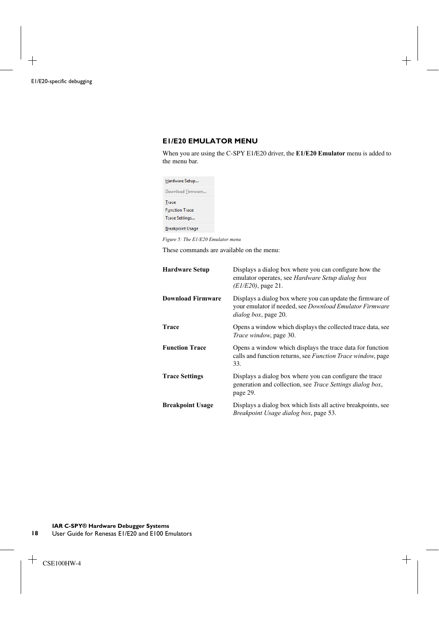## <span id="page-17-0"></span>**E1/E20 EMULATOR MENU**

When you are using the C-SPY E1/E20 driver, the **E1/E20 Emulator** menu is added to the menu bar.

| Hardware Setup                                          |
|---------------------------------------------------------|
| Download Firmware                                       |
| <b>Trace</b><br><b>Function Trace</b><br>Trace Settings |
| <b>Breakpoint Usage</b>                                 |

*Figure 5: The E1/E20 Emulator menu*

These commands are available on the menu:

| <b>Hardware Setup</b>    | Displays a dialog box where you can configure how the<br>emulator operates, see Hardware Setup dialog box<br>$(E1/E20)$ , page 21.                    |
|--------------------------|-------------------------------------------------------------------------------------------------------------------------------------------------------|
| <b>Download Firmware</b> | Displays a dialog box where you can update the firmware of<br>your emulator if needed, see Download Emulator Firmware<br><i>dialog box</i> , page 20. |
| <b>Trace</b>             | Opens a window which displays the collected trace data, see<br>Trace window, page 30.                                                                 |
| <b>Function Trace</b>    | Opens a window which displays the trace data for function<br>calls and function returns, see <i>Function Trace window</i> , page<br>33.               |
| <b>Trace Settings</b>    | Displays a dialog box where you can configure the trace<br>generation and collection, see <i>Trace Settings dialog box</i> ,<br>page 29.              |
| <b>Breakpoint Usage</b>  | Displays a dialog box which lists all active breakpoints, see<br>Breakpoint Usage dialog box, page 53.                                                |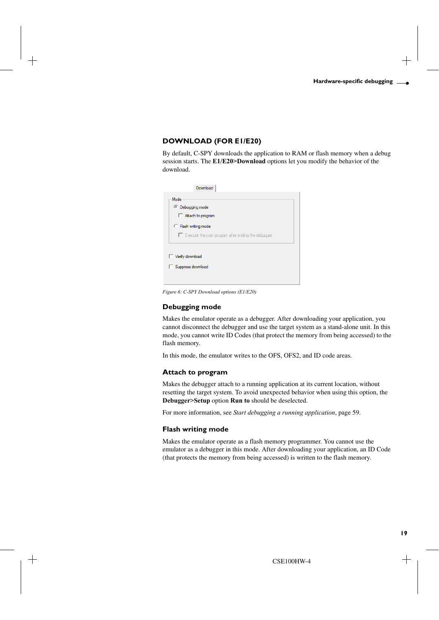## <span id="page-18-0"></span>**DOWNLOAD (FOR E1/E20)**

By default, C-SPY downloads the application to RAM or flash memory when a debug session starts. The **E1/E20>Download** options let you modify the behavior of the download.

| Mode<br>© Debugging mode    |                                                           |
|-----------------------------|-----------------------------------------------------------|
|                             | Attach to program                                         |
| <b>C</b> Flash writing mode |                                                           |
|                             | $\Box$ Execute the user program after ending the debugger |

*Figure 6: C-SPY Download options (E1/E20)*

## **Debugging mode**

Makes the emulator operate as a debugger. After downloading your application, you cannot disconnect the debugger and use the target system as a stand-alone unit. In this mode, you cannot write ID Codes (that protect the memory from being accessed) to the flash memory.

In this mode, the emulator writes to the OFS, OFS2, and ID code areas.

### <span id="page-18-1"></span>**Attach to program**

Makes the debugger attach to a running application at its current location, without resetting the target system. To avoid unexpected behavior when using this option, the **Debugger>Setup** option **Run to** should be deselected.

For more information, see *[Start debugging a running application](#page-58-0)*, page 59.

## **Flash writing mode**

Makes the emulator operate as a flash memory programmer. You cannot use the emulator as a debugger in this mode. After downloading your application, an ID Code (that protects the memory from being accessed) is written to the flash memory.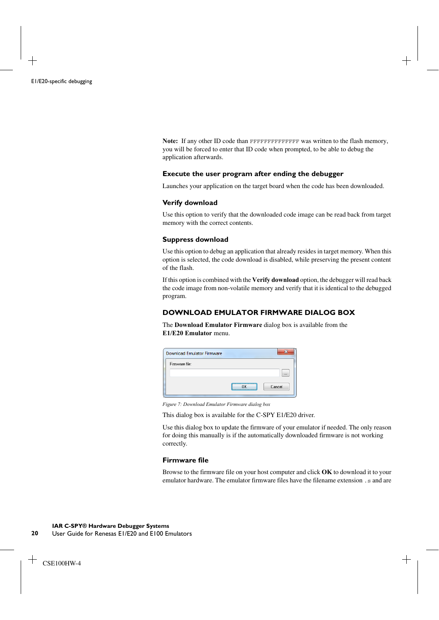Note: If any other ID code than FFFFFFFFFFFFFFFF was written to the flash memory, you will be forced to enter that ID code when prompted, to be able to debug the application afterwards.

#### **Execute the user program after ending the debugger**

Launches your application on the target board when the code has been downloaded.

#### **Verify download**

Use this option to verify that the downloaded code image can be read back from target memory with the correct contents.

#### **Suppress download**

Use this option to debug an application that already resides in target memory. When this option is selected, the code download is disabled, while preserving the present content of the flash.

If this option is combined with the **Verify download** option, the debugger will read back the code image from non-volatile memory and verify that it is identical to the debugged program.

## <span id="page-19-0"></span>**DOWNLOAD EMULATOR FIRMWARE DIALOG BOX**

The **Download Emulator Firmware** dialog box is available from the **E1/E20 Emulator** menu.

| Download Emulator Firmware |    |        |
|----------------------------|----|--------|
| Firmware file:             |    |        |
|                            |    |        |
|                            | nĸ | Cancel |

*Figure 7: Download Emulator Firmware dialog box*

This dialog box is available for the C-SPY E1/E20 driver.

Use this dialog box to update the firmware of your emulator if needed. The only reason for doing this manually is if the automatically downloaded firmware is not working correctly.

## **Firmware file**

Browse to the firmware file on your host computer and click **OK** to download it to your emulator hardware. The emulator firmware files have the filename extension .s and are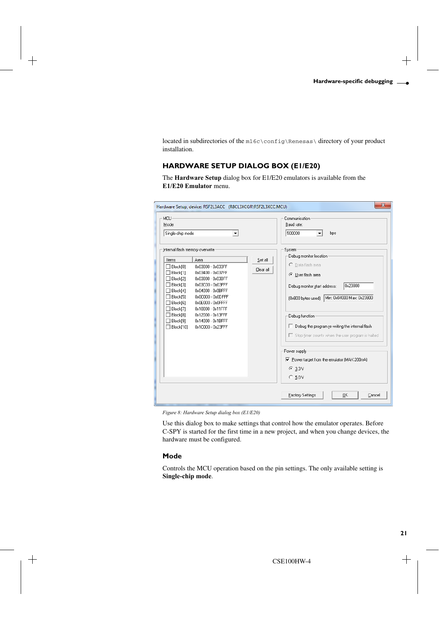located in subdirectories of the m16c\config\Renesas\ directory of your product installation.

## <span id="page-20-0"></span>**HARDWARE SETUP DIALOG BOX (E1/E20)**

The **Hardware Setup** dialog box for E1/E20 emulators is available from the **E1/E20 Emulator** menu.

| MCU                                                                                                                                                                                                                                                                                                                                                                                                                                                                                                                             | Communication                                                                                                                                                                                                                                                                                                                                                                                                      |
|---------------------------------------------------------------------------------------------------------------------------------------------------------------------------------------------------------------------------------------------------------------------------------------------------------------------------------------------------------------------------------------------------------------------------------------------------------------------------------------------------------------------------------|--------------------------------------------------------------------------------------------------------------------------------------------------------------------------------------------------------------------------------------------------------------------------------------------------------------------------------------------------------------------------------------------------------------------|
| Mode:                                                                                                                                                                                                                                                                                                                                                                                                                                                                                                                           | Baud rate:                                                                                                                                                                                                                                                                                                                                                                                                         |
| Single-chip mode                                                                                                                                                                                                                                                                                                                                                                                                                                                                                                                | 500000                                                                                                                                                                                                                                                                                                                                                                                                             |
| ▼                                                                                                                                                                                                                                                                                                                                                                                                                                                                                                                               | bps                                                                                                                                                                                                                                                                                                                                                                                                                |
| Internal flash memory overwrite<br>Area<br>Set all<br>Items<br>$\Box$ Block[0]<br>0x03000 - 0x033FF<br>Clear all<br>$\Box$ Block[1]<br>0x03400 - 0x037FF<br>$\Box$ Block[2]<br>0x03800 - 0x03BFF<br>$\exists$ Block[3]<br>0x03C00 - 0x03FFF<br>□ Block[4]<br>0x04000 - 0x0BFFF<br>$\Box$ Block[5]<br>0x0C000 - 0x0DFFF<br>$\Box$ Block[6]<br>0x0E000 - 0x0FFFF<br>$\Box$ Block[7]<br>0x10000 - 0x11FFF<br>$\Box$ Block[8]<br>0x12000 - 0x13FFF<br>$\Box$ Block[9]<br>0x14000 - 0x1BFFF<br>$\Box$ Block[10]<br>0x1C000 - 0x23FFF | System<br>Debug monitor location<br>C Data flash area<br>© User flash area<br>Ox23800<br>Debug monitor start address:<br>Min: 0x04000 Max: 0x23800<br>(0x800 bytes used)<br>Debug function<br>$\Box$ Debug the program re-writing the internal flash<br>Stop timer counts when the user program is halted<br>Power supply:<br>$\triangledown$ Power target from the emulator (MAX 200mA)<br>$G$ 3.3 V<br>$C$ 5.0 V |

*Figure 8: Hardware Setup dialog box (E1/E20)*

Use this dialog box to make settings that control how the emulator operates. Before C-SPY is started for the first time in a new project, and when you change devices, the hardware must be configured.

## **Mode**

Controls the MCU operation based on the pin settings. The only available setting is **Single-chip mode**.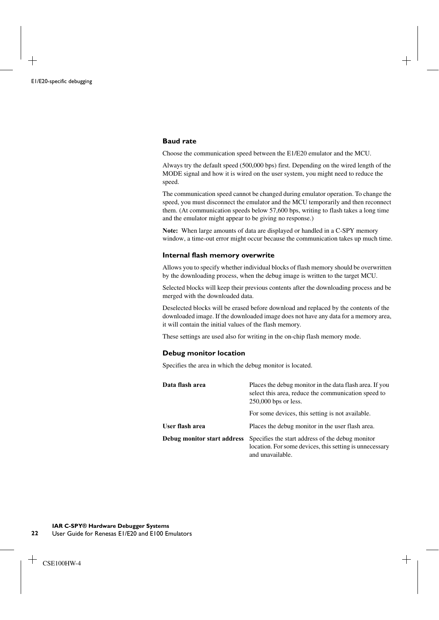## **Baud rate**

Choose the communication speed between the E1/E20 emulator and the MCU.

Always try the default speed (500,000 bps) first. Depending on the wired length of the MODE signal and how it is wired on the user system, you might need to reduce the speed.

The communication speed cannot be changed during emulator operation. To change the speed, you must disconnect the emulator and the MCU temporarily and then reconnect them. (At communication speeds below 57,600 bps, writing to flash takes a long time and the emulator might appear to be giving no response.)

**Note:** When large amounts of data are displayed or handled in a C-SPY memory window, a time-out error might occur because the communication takes up much time.

#### **Internal flash memory overwrite**

Allows you to specify whether individual blocks of flash memory should be overwritten by the downloading process, when the debug image is written to the target MCU.

Selected blocks will keep their previous contents after the downloading process and be merged with the downloaded data.

Deselected blocks will be erased before download and replaced by the contents of the downloaded image. If the downloaded image does not have any data for a memory area, it will contain the initial values of the flash memory.

These settings are used also for writing in the on-chip flash memory mode.

#### **Debug monitor location**

Specifies the area in which the debug monitor is located.

| Data flash area             | Places the debug monitor in the data flash area. If you<br>select this area, reduce the communication speed to<br>$250,000$ bps or less. |
|-----------------------------|------------------------------------------------------------------------------------------------------------------------------------------|
|                             | For some devices, this setting is not available.                                                                                         |
| User flash area             | Places the debug monitor in the user flash area.                                                                                         |
| Debug monitor start address | Specifies the start address of the debug monitor<br>location. For some devices, this setting is unnecessary<br>and unavailable.          |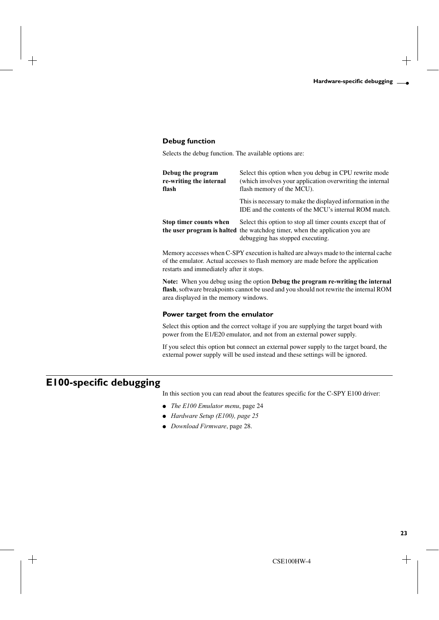## **Debug function**

Selects the debug function. The available options are:

| Debug the program<br>re-writing the internal<br>flash | Select this option when you debug in CPU rewrite mode<br>(which involves your application overwriting the internal<br>flash memory of the MCU).                               |
|-------------------------------------------------------|-------------------------------------------------------------------------------------------------------------------------------------------------------------------------------|
|                                                       | This is necessary to make the displayed information in the<br>IDE and the contents of the MCU's internal ROM match.                                                           |
| Stop timer counts when                                | Select this option to stop all timer counts except that of<br>the user program is halted the watchdog timer, when the application you are<br>debugging has stopped executing. |

Memory accesses when C-SPY execution is halted are always made to the internal cache of the emulator. Actual accesses to flash memory are made before the application restarts and immediately after it stops.

**Note:** When you debug using the option **Debug the program re-writing the internal flash**, software breakpoints cannot be used and you should not rewrite the internal ROM area displayed in the memory windows.

## **Power target from the emulator**

Select this option and the correct voltage if you are supplying the target board with power from the E1/E20 emulator, and not from an external power supply.

If you select this option but connect an external power supply to the target board, the external power supply will be used instead and these settings will be ignored.

## <span id="page-22-0"></span>**E100-specific debugging**

In this section you can read about the features specific for the C-SPY E100 driver:

- *[The E100 Emulator menu](#page-23-0)*, page 24
- *[Hardware Setup \(E100\), page 25](#page-24-0)*
- *[Download Firmware](#page-27-0)*, page 28.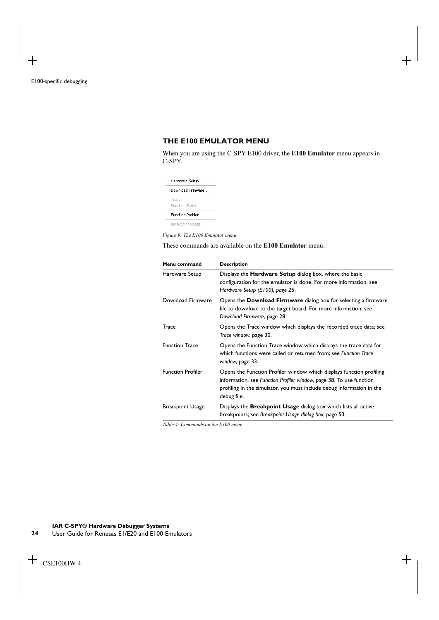## <span id="page-23-0"></span>**THE E100 EMULATOR MENU**

When you are using the C-SPY E100 driver, the **E100 Emulator** menu appears in C-SPY.

| Hardware Setup                 |
|--------------------------------|
| Download Firmware              |
| Trace<br><b>Eunction Trace</b> |
| Eunction Profiler              |
| Breakpoint Usage               |

*Figure 9: The E100 Emulator menu*

These commands are available on the **E100 Emulator** menu:

| Menu command             | <b>Description</b>                                                                                                                                                                                                                  |
|--------------------------|-------------------------------------------------------------------------------------------------------------------------------------------------------------------------------------------------------------------------------------|
| Hardware Setup           | Displays the <b>Hardware Setup</b> dialog box, where the basic<br>configuration for the emulator is done. For more information, see<br>Hardware Setup (E100), page 25.                                                              |
| Download Firmware        | Opens the <b>Download Firmware</b> dialog box for selecting a firmware<br>file to download to the target board. For more information, see<br>Download Firmware, page 28.                                                            |
| Trace                    | Opens the Trace window which displays the recorded trace data; see<br>Trace window, page 30.                                                                                                                                        |
| <b>Function Trace</b>    | Opens the Function Trace window which displays the trace data for<br>which functions were called or returned from; see Function Trace<br>window, page 33.                                                                           |
| <b>Function Profiler</b> | Opens the Function Profiler window which displays function profiling<br>information, see Function Profiler window, page 38. To use function<br>profiling in the simulator, you must include debug information in the<br>debug file. |
| <b>Breakpoint Usage</b>  | Displays the <b>Breakpoint Usage</b> dialog box which lists all active<br>breakpoints; see Breakpoint Usage dialog box, page 53.                                                                                                    |

*Table 4: Commands on the E100 menu*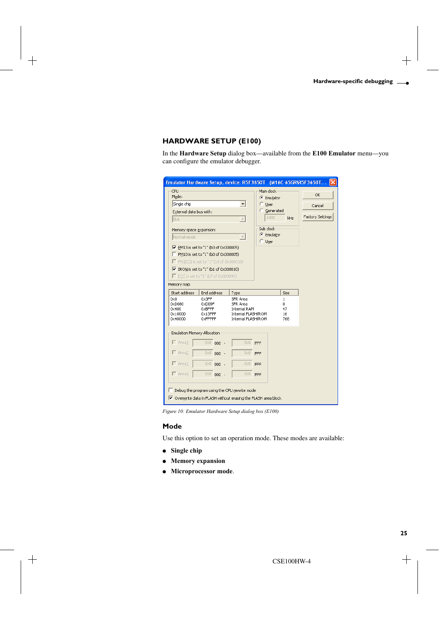## <span id="page-24-0"></span>**HARDWARE SETUP (E100)**

In the **Hardware Setup** dialog box—available from the **E100 Emulator** menu—you can configure the emulator debugger.

| Emulator Hardware Setup, device: R5F3650T (M16C-65GRVR5F3650T<br>CPU<br>Mode:<br>Single chip<br>$\overline{\phantom{a}}$<br>External data bus with:<br>8bit<br>Memory space expansion:<br>Normal mode<br>M PM13 is set to "1" (b3 of 0x000005)<br>□ PM10 is set to "1" (b0 of 0x000005)<br>$\Box$ PRG2C0 is set to "1" (b0 of 0x000010)<br>$\overline{\triangledown}$ IRON is set to "1" (b1 of 0x000010)<br>ECC is set to "1" (b7 of 0x000090) |                                                                    |                                                                                                 | Main clock<br>C Emulator<br>C User<br><b>C</b> Generated<br>1000<br>Sub clock:<br>C Emulator<br>$\Box$ User | kHz                                          | OK<br>Cancel<br><b>Factory Settings</b> |
|-------------------------------------------------------------------------------------------------------------------------------------------------------------------------------------------------------------------------------------------------------------------------------------------------------------------------------------------------------------------------------------------------------------------------------------------------|--------------------------------------------------------------------|-------------------------------------------------------------------------------------------------|-------------------------------------------------------------------------------------------------------------|----------------------------------------------|-----------------------------------------|
| Memory map                                                                                                                                                                                                                                                                                                                                                                                                                                      |                                                                    |                                                                                                 |                                                                                                             |                                              |                                         |
| Start address<br>0x0<br>0xD080<br>0x400<br>0x10000<br>0x40000                                                                                                                                                                                                                                                                                                                                                                                   | End address<br>0x3FF<br>0xD09F<br>0xBFFF<br>$0x13$ FFF<br>0xFFFFFF | Type<br>SFR Area<br>SFR Area<br><b>Internal RAM</b><br>Internal FLASH/ROM<br>Internal FLASH/ROM |                                                                                                             | Size<br>$\mathbf{1}$<br>0<br>47<br>16<br>768 |                                         |
| Emulation Memory Allocation                                                                                                                                                                                                                                                                                                                                                                                                                     |                                                                    |                                                                                                 |                                                                                                             |                                              |                                         |
| $\Gamma$ Area1                                                                                                                                                                                                                                                                                                                                                                                                                                  | $0 \times 0$ 000 -                                                 | 0x0                                                                                             | FFF                                                                                                         |                                              |                                         |
| $\Box$ Area2                                                                                                                                                                                                                                                                                                                                                                                                                                    | $0 \times 0$ 000 -                                                 | $0x0$ FFF                                                                                       |                                                                                                             |                                              |                                         |
| $\Gamma$ Area3                                                                                                                                                                                                                                                                                                                                                                                                                                  | $0 \times 0$ 000 -                                                 | 0x0                                                                                             | FFF                                                                                                         |                                              |                                         |
| $\Box$ Area $4$                                                                                                                                                                                                                                                                                                                                                                                                                                 | $0 \times 0$ 000 -                                                 | 0x0                                                                                             | FFF                                                                                                         |                                              |                                         |
| V Overwrite data in FLASH without erasing the FLASH area block                                                                                                                                                                                                                                                                                                                                                                                  | Debug the program using the CPU rewrite mode                       |                                                                                                 |                                                                                                             |                                              |                                         |

*Figure 10: Emulator Hardware Setup dialog box (E100)*

## **Mode**

Use this option to set an operation mode. These modes are available:

- **Single chip**
- **Memory expansion**
- **Microprocessor mode**.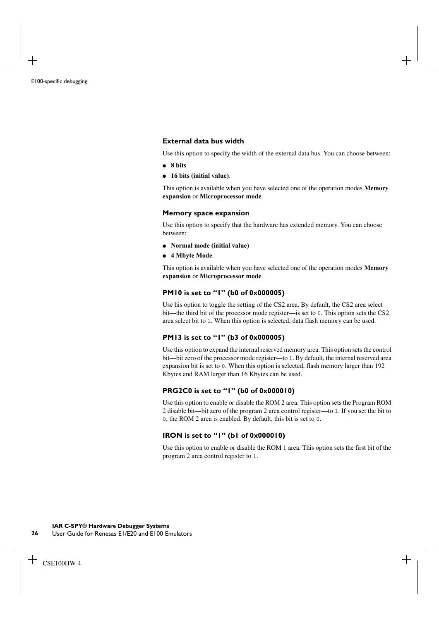### **External data bus width**

Use this option to specify the width of the external data bus. You can choose between:

- **8 bits**
- **16 bits (initial value)**.

This option is available when you have selected one of the operation modes **Memory expansion** or **Microprocessor mode**.

#### **Memory space expansion**

Use this option to specify that the hardware has extended memory. You can choose between:

- **Normal mode (initial value)**
- **4 Mbyte Mode**.

This option is available when you have selected one of the operation modes **Memory expansion** or **Microprocessor mode**.

## **PM10 is set to "1" (b0 of 0x000005)**

Use his option to toggle the setting of the CS2 area. By default, the CS2 area select bit—the third bit of the processor mode register—is set to 0. This option sets the CS2 area select bit to 1. When this option is selected, data flash memory can be used.

## **PM13 is set to "1" (b3 of 0x000005)**

Use this option to expand the internal reserved memory area. This option sets the control bit—bit zero of the processor mode register—to 1. By default, the internal reserved area expansion bit is set to 0. When this option is selected, flash memory larger than 192 Kbytes and RAM larger than 16 Kbytes can be used.

## **PRG2C0 is set to "1" (b0 of 0x000010)**

Use this option to enable or disable the ROM 2 area. This option sets the Program ROM 2 disable bit—bit zero of the program 2 area control register—to 1. If you set the bit to 0, the ROM 2 area is enabled. By default, this bit is set to 0.

## **IRON is set to "1" (b1 of 0x000010)**

Use this option to enable or disable the ROM 1 area. This option sets the first bit of the program 2 area control register to 1.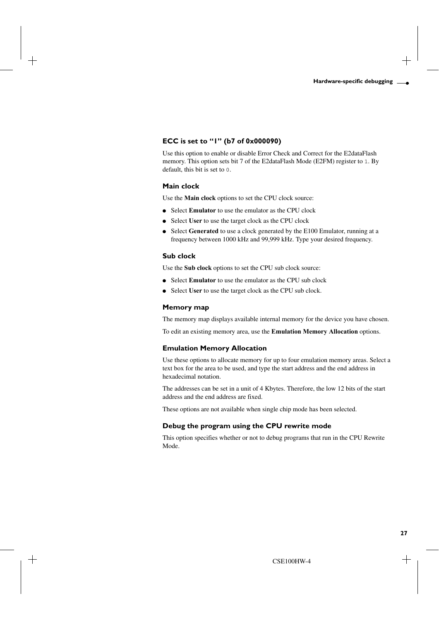## **ECC is set to "1" (b7 of 0x000090)**

Use this option to enable or disable Error Check and Correct for the E2dataFlash memory. This option sets bit 7 of the E2dataFlash Mode (E2FM) register to 1. By default, this bit is set to 0.

## **Main clock**

Use the **Main clock** options to set the CPU clock source:

- Select **Emulator** to use the emulator as the CPU clock
- Select **User** to use the target clock as the CPU clock
- Select **Generated** to use a clock generated by the E100 Emulator, running at a frequency between 1000 kHz and 99,999 kHz. Type your desired frequency.

### **Sub clock**

Use the **Sub clock** options to set the CPU sub clock source:

- Select **Emulator** to use the emulator as the CPU sub clock
- Select **User** to use the target clock as the CPU sub clock.

### **Memory map**

The memory map displays available internal memory for the device you have chosen.

To edit an existing memory area, use the **[Emulation Memory Allocation](#page-26-0)** options.

#### <span id="page-26-0"></span>**Emulation Memory Allocation**

Use these options to allocate memory for up to four emulation memory areas. Select a text box for the area to be used, and type the start address and the end address in hexadecimal notation.

The addresses can be set in a unit of 4 Kbytes. Therefore, the low 12 bits of the start address and the end address are fixed.

These options are not available when single chip mode has been selected.

## **Debug the program using the CPU rewrite mode**

This option specifies whether or not to debug programs that run in the CPU Rewrite Mode.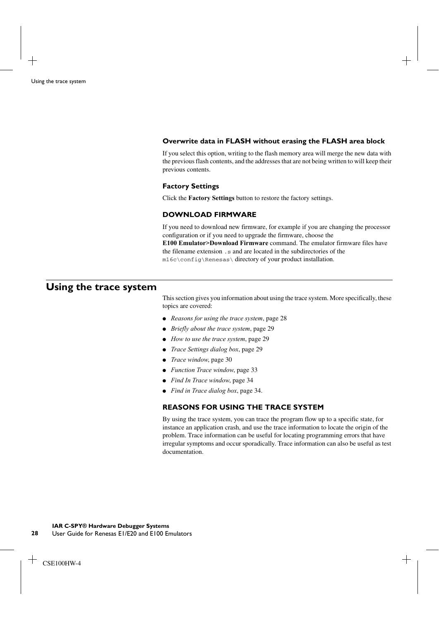## **Overwrite data in FLASH without erasing the FLASH area block**

If you select this option, writing to the flash memory area will merge the new data with the previous flash contents, and the addresses that are not being written to will keep their previous contents.

## **Factory Settings**

Click the **Factory Settings** button to restore the factory settings.

## <span id="page-27-0"></span>**DOWNLOAD FIRMWARE**

If you need to download new firmware, for example if you are changing the processor configuration or if you need to upgrade the firmware, choose the **E100 Emulator>Download Firmware** command. The emulator firmware files have the filename extension .s and are located in the subdirectories of the m16c\config\Renesas\ directory of your product installation.

## <span id="page-27-1"></span>**Using the trace system**

This section gives you information about using the trace system. More specifically, these topics are covered:

- *[Reasons for using the trace system](#page-27-2)*, page 28
- *[Briefly about the trace system](#page-28-0)*, page 29
- *[How to use the trace system](#page-28-1)*, page 29
- *[Trace Settings dialog box](#page-28-2)*, page 29
- *[Trace window](#page-29-0)*, page 30
- *[Function Trace window](#page-32-0)*, page 33
- *[Find In Trace window](#page-33-0)*, page 34
- *[Find in Trace dialog box](#page-33-1)*, page 34.

## <span id="page-27-2"></span>**REASONS FOR USING THE TRACE SYSTEM**

By using the trace system, you can trace the program flow up to a specific state, for instance an application crash, and use the trace information to locate the origin of the problem. Trace information can be useful for locating programming errors that have irregular symptoms and occur sporadically. Trace information can also be useful as test documentation.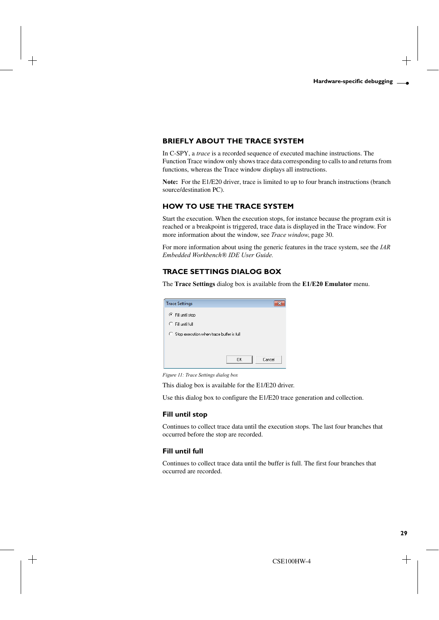## <span id="page-28-0"></span>**BRIEFLY ABOUT THE TRACE SYSTEM**

In C-SPY, a *trace* is a recorded sequence of executed machine instructions. The Function Trace window only shows trace data corresponding to calls to and returns from functions, whereas the Trace window displays all instructions.

**Note:** For the E1/E20 driver, trace is limited to up to four branch instructions (branch source/destination PC).

## <span id="page-28-1"></span>**HOW TO USE THE TRACE SYSTEM**

Start the execution. When the execution stops, for instance because the program exit is reached or a breakpoint is triggered, trace data is displayed in the Trace window. For more information about the window, see *[Trace window](#page-29-0)*, page 30.

For more information about using the generic features in the trace system, see the *IAR Embedded Workbench® IDE User Guide.*

## <span id="page-28-2"></span>**TRACE SETTINGS DIALOG BOX**

The **Trace Settings** dialog box is available from the **E1/E20 Emulator** menu.

| <b>Trace Settings</b>                          |  |
|------------------------------------------------|--|
| C Fill until stop                              |  |
| o<br>Fill until full                           |  |
| Stop execution when trace buffer is full<br>O. |  |
|                                                |  |
|                                                |  |
| Cancel<br>OK                                   |  |

*Figure 11: Trace Settings dialog box*

This dialog box is available for the E1/E20 driver.

Use this dialog box to configure the E1/E20 trace generation and collection.

## **Fill until stop**

Continues to collect trace data until the execution stops. The last four branches that occurred before the stop are recorded.

## **Fill until full**

Continues to collect trace data until the buffer is full. The first four branches that occurred are recorded.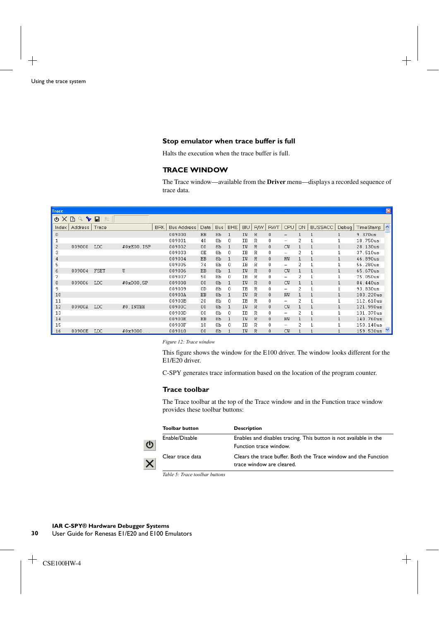## **Stop emulator when trace buffer is full**

Halts the execution when the trace buffer is full.

## <span id="page-29-0"></span>**TRACE WINDOW**

The Trace window—available from the **Driver** menu—displays a recorded sequence of trace data.

| <b>Trace</b>   |                    |                     |            |            |                    |       |                |            |            |            |              |                          |                |                |              |                        | $\boxed{\mathbf{z}}$ |
|----------------|--------------------|---------------------|------------|------------|--------------------|-------|----------------|------------|------------|------------|--------------|--------------------------|----------------|----------------|--------------|------------------------|----------------------|
| $\circ \times$ | 目<br>╰<br>$\alpha$ | Θ<br>8 <sup>m</sup> |            |            |                    |       |                |            |            |            |              |                          |                |                |              |                        |                      |
| Index          | Address            | Trace               |            | <b>BRK</b> | <b>Bus Address</b> | Data. | <b>Bus</b>     | <b>BHE</b> | <b>BIU</b> | <b>R/W</b> | <b>RWT</b>   | CPU                      | QN             | <b>BUSSACC</b> | Debug        | TimeStamp <sup>1</sup> |                      |
| 0              |                    |                     |            |            | 009000             | EB    | 8 <sub>b</sub> |            | IU         | R          | 0            |                          |                |                |              | 9.370us                |                      |
|                |                    |                     |            |            | 009001             | 40    | 8 <sub>b</sub> | ٥          | ΙB         | R          | 0            | -                        | 2              |                |              | 18.750us               |                      |
| $\overline{c}$ | 009000             | <b>LDC</b>          | #0xE00.ISP |            | 009002             | 00    | 8 <sub>b</sub> |            | IW         | R          | $\mathbf{0}$ | <b>CM</b>                |                |                |              | 28.130us               |                      |
| 3              |                    |                     |            |            | 009003             | 0E    | 8 <sub>b</sub> | 0          | IΒ         | R          | 0            | -                        | 2              |                |              | 37.510us               |                      |
| 4              |                    |                     |            |            | 009004             | EB    | 8 <sub>b</sub> |            | IW         | R          | 0            | RW                       |                |                |              | 46.890us               |                      |
| 5              |                    |                     |            |            | 009005             | 74    | 8 <sub>b</sub> | ۵          | IΒ         | R          | 0            | $\overline{\phantom{0}}$ | $\overline{c}$ |                |              | 56.280us               |                      |
| 6              | 009004             | FSET                | U          |            | 009006             | EB    | 8 <sub>b</sub> |            | IU         | R          | 0            | <b>CW</b>                |                |                | $\mathbf{1}$ | 65.670us               |                      |
| 7              |                    |                     |            |            | 009007             | 50    | 8 <sub>b</sub> | 0          | IΒ         | R          | 0            | -                        | 2              |                | $\mathbf{1}$ | 75.050us               |                      |
| 8              | 009006             | <b>LDC</b>          | #0xD00.SP  |            | 009008             | 00    | 8 <sub>b</sub> |            | IW         | R          | 0            | <b>CW</b>                |                |                |              | 84.440us               |                      |
| 9              |                    |                     |            |            | 009009             | 0D    | 8 <sub>b</sub> | Ū          | <b>IB</b>  | R          | 0            | -                        | $\overline{c}$ |                | 1            | 93.830us               |                      |
| 10             |                    |                     |            |            | 00900A             | EB    | 8 <sub>b</sub> |            | IW         | R          | $\Omega$     | RW                       |                |                | 1            | 103.220us              |                      |
| 11             |                    |                     |            |            | 00900B             | 20    | 8 <sub>b</sub> | 0          | IB         | R          | 0            | $\overline{\phantom{0}}$ | 2              |                | 1            | 112.610us              |                      |
| 12             | 00900A             | <b>LDC</b>          | #0. INTBH  |            | 00900C             | 00    | 8 <sub>b</sub> |            | IW         | R          | 0            | <b>CW</b>                |                |                |              | 121.990us              |                      |
| 13             |                    |                     |            |            | 00900D             | 00    | 8 <sub>b</sub> | 0          | IB         | R          | 0            | $\overline{\phantom{0}}$ | 2              |                |              | 131.370us              |                      |
| 14             |                    |                     |            |            | 00900E             | EB    | 8 <sub>b</sub> |            | IW         | R          | 0            | RW                       |                |                |              | 140.760us              |                      |
| 15             |                    |                     |            |            | 00900F             | 10    | 8 <sub>b</sub> | 0          | IΒ         | R          | 0            | -                        | 2              |                |              | 150.140us              |                      |
| 16             | 00900E             | <b>LDC</b>          | #0x9000    |            | 009010             | 00    | 8 <sub>b</sub> |            | IW         | R          | 0            | CW                       |                |                |              | 159.530us              |                      |

*Figure 12: Trace window* 

This figure shows the window for the E100 driver. The window looks different for the E1/E20 driver.

C-SPY generates trace information based on the location of the program counter.

## <span id="page-29-1"></span>**Trace toolbar**

The Trace toolbar at the top of the Trace window and in the Function trace window provides these toolbar buttons:

|         | <b>Toolbar button</b> | <b>Description</b>                                                                           |
|---------|-----------------------|----------------------------------------------------------------------------------------------|
| $\circ$ | Enable/Disable        | Enables and disables tracing. This button is not available in the                            |
|         |                       | Function trace window.                                                                       |
|         | Clear trace data      | Clears the trace buffer. Both the Trace window and the Function<br>trace window are cleared. |

*Table 5: Trace toolbar buttons*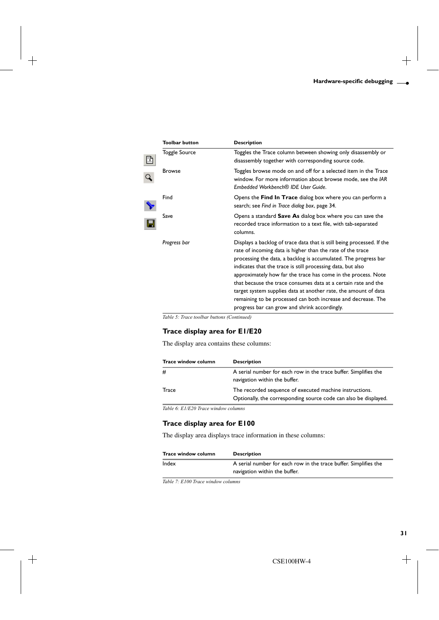| <b>Toolbar button</b> | <b>Description</b>                                                                                                                                                                                                                                                                                                                                                                                                                                                                                                                                                                             |
|-----------------------|------------------------------------------------------------------------------------------------------------------------------------------------------------------------------------------------------------------------------------------------------------------------------------------------------------------------------------------------------------------------------------------------------------------------------------------------------------------------------------------------------------------------------------------------------------------------------------------------|
| <b>Toggle Source</b>  | Toggles the Trace column between showing only disassembly or<br>disassembly together with corresponding source code.                                                                                                                                                                                                                                                                                                                                                                                                                                                                           |
| <b>Browse</b>         | Toggles browse mode on and off for a selected item in the Trace<br>window. For more information about browse mode, see the IAR<br>Embedded Workbench® IDE User Guide.                                                                                                                                                                                                                                                                                                                                                                                                                          |
| Find                  | Opens the Find In Trace dialog box where you can perform a<br>search; see Find in Trace dialog box, page 34.                                                                                                                                                                                                                                                                                                                                                                                                                                                                                   |
| Save                  | Opens a standard Save As dialog box where you can save the<br>recorded trace information to a text file, with tab-separated<br>columns.                                                                                                                                                                                                                                                                                                                                                                                                                                                        |
| Progress bar          | Displays a backlog of trace data that is still being processed. If the<br>rate of incoming data is higher than the rate of the trace<br>processing the data, a backlog is accumulated. The progress bar<br>indicates that the trace is still processing data, but also<br>approximately how far the trace has come in the process. Note<br>that because the trace consumes data at a certain rate and the<br>target system supplies data at another rate, the amount of data<br>remaining to be processed can both increase and decrease. The<br>progress bar can grow and shrink accordingly. |

*Table 5: Trace toolbar buttons (Continued)*

## <span id="page-30-1"></span>**Trace display area for E1/E20**

The display area contains these columns:

| Trace window column | <b>Description</b>                                                                                                          |
|---------------------|-----------------------------------------------------------------------------------------------------------------------------|
| #                   | A serial number for each row in the trace buffer. Simplifies the<br>navigation within the buffer.                           |
| Trace               | The recorded sequence of executed machine instructions.<br>Optionally, the corresponding source code can also be displayed. |

*Table 6: E1/E20 Trace window columns* 

## <span id="page-30-0"></span>**Trace display area for E100**

The display area displays trace information in these columns:

| Trace window column | <b>Description</b>                                               |
|---------------------|------------------------------------------------------------------|
| Index               | A serial number for each row in the trace buffer. Simplifies the |
|                     | navigation within the buffer.                                    |

*Table 7: E100 Trace window columns*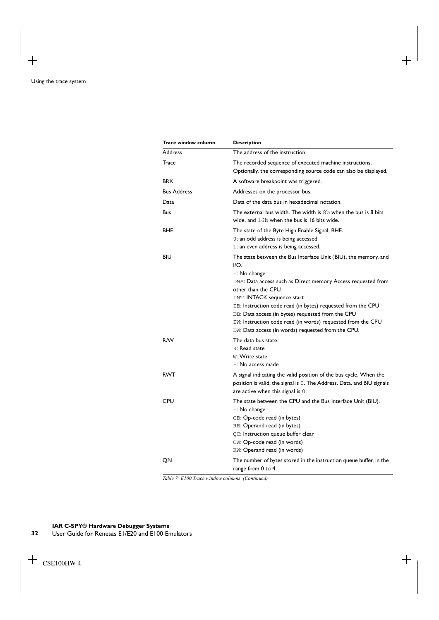| <b>Trace window column</b> | <b>Description</b>                                                                                                                                                                                                                                                         |
|----------------------------|----------------------------------------------------------------------------------------------------------------------------------------------------------------------------------------------------------------------------------------------------------------------------|
| <b>Address</b>             | The address of the instruction.                                                                                                                                                                                                                                            |
| Trace                      | The recorded sequence of executed machine instructions.<br>Optionally, the corresponding source code can also be displayed.                                                                                                                                                |
| <b>BRK</b>                 | A software breakpoint was triggered.                                                                                                                                                                                                                                       |
| <b>Bus Address</b>         | Addresses on the processor bus.                                                                                                                                                                                                                                            |
| Data                       | Data of the data bus in hexadecimal notation.                                                                                                                                                                                                                              |
| Bus                        | The external bus width. The width is 8b when the bus is 8 bits<br>wide, and 16b when the bus is 16 bits wide.                                                                                                                                                              |
| <b>BHE</b>                 | The state of the Byte High Enable Signal, BHE.<br>0: an odd address is being accessed<br>1: an even address is being accessed.                                                                                                                                             |
| BIU                        | The state between the Bus Interface Unit (BIU), the memory, and<br>$I/O$ .                                                                                                                                                                                                 |
|                            | -: No change<br>DMA: Data access such as Direct memory Access requested from<br>other than the CPU.                                                                                                                                                                        |
|                            | INT: <b>INTACK</b> sequence start<br>IB: Instruction code read (in bytes) requested from the CPU<br>DB: Data access (in bytes) requested from the CPU<br>IW: Instruction code read (in words) requested from the CPU<br>DW: Data access (in words) requested from the CPU. |
| R/W                        | The data bus state.<br>R: Read state<br>W: Write state<br>$-$ : No access made                                                                                                                                                                                             |
| <b>RWT</b>                 | A signal indicating the valid position of the bus cycle. When the<br>position is valid, the signal is 0. The Address, Data, and BIU signals<br>are active when this signal is $0.$                                                                                         |
| CPU                        | The state between the CPU and the Bus Interface Unit (BIU).<br>$-$ : No change<br>CB: Op-code read (in bytes)<br>RB: Operand read (in bytes)<br>QC: Instruction queue buffer clear<br>CW: Op-code read (in words)<br>RW: Operand read (in words)                           |
| OΝ                         | The number of bytes stored in the instruction queue buffer, in the<br>range from 0 to 4.                                                                                                                                                                                   |

*Table 7: E100 Trace window columns (Continued)*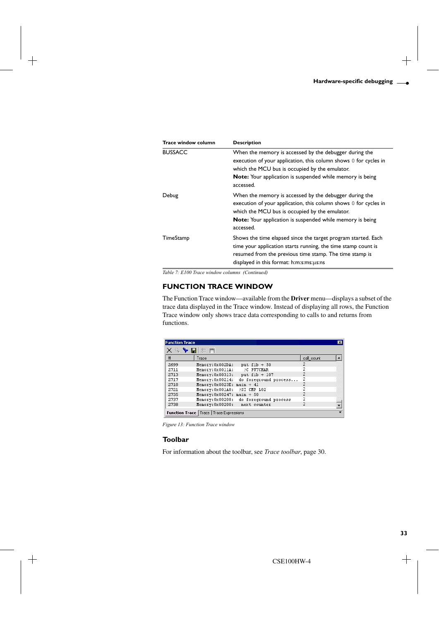| <b>Trace window column</b> | <b>Description</b>                                                                                                                                                                                                                                                   |
|----------------------------|----------------------------------------------------------------------------------------------------------------------------------------------------------------------------------------------------------------------------------------------------------------------|
| <b>BUSSACC</b>             | When the memory is accessed by the debugger during the<br>execution of your application, this column shows 0 for cycles in<br>which the MCU bus is occupied by the emulator.<br><b>Note:</b> Your application is suspended while memory is being<br>accessed.        |
| Debug                      | When the memory is accessed by the debugger during the<br>execution of your application, this column shows $\theta$ for cycles in<br>which the MCU bus is occupied by the emulator.<br><b>Note:</b> Your application is suspended while memory is being<br>accessed. |
| TimeStamp                  | Shows the time elapsed since the target program started. Each<br>time your application starts running, the time stamp count is<br>resumed from the previous time stamp. The time stamp is<br>displayed in this format: h:m:s:ms:µs:ns                                |

*Table 7: E100 Trace window columns (Continued)*

## <span id="page-32-0"></span>**FUNCTION TRACE WINDOW**

The Function Trace window—available from the **Driver** menu—displays a subset of the trace data displayed in the Trace window. Instead of displaying all rows, the Function Trace window only shows trace data corresponding to calls to and returns from functions.

| <b>Function Trace</b><br>⊠ |                                                   |                       |                |              |
|----------------------------|---------------------------------------------------|-----------------------|----------------|--------------|
|                            | ✕འ╰▶ ط ॎ स                                        |                       |                |              |
| #                          | Trace                                             |                       | call count     |              |
| 2699                       | Memory: 0x002DA:                                  | put $fib + 50$        | 2              |              |
| 2711                       | Memory: 0x0011A:                                  | 2C PUTCHAR            | 2              |              |
| 2713                       | Memory: 0x00313:                                  | put $fib + 107$       | 2              |              |
| 2717                       | Memory: 0x00214:                                  | do foreground process | 2              |              |
| 2718                       | $Memory: 0x0023E: main + 41$                      |                       | 2              |              |
| 2721                       | Memory: 0x001A8:                                  | 2SI CMP LO2           | 2              |              |
| 2735                       | $Memory: 0x00247: main + 50$                      |                       | 2              |              |
| 2737                       | Memory: 0x00208:                                  | do foreground process | 2              |              |
| 2738                       | Memory: 0x00200:                                  | next counter          | $\overline{c}$ |              |
|                            | <b>Function Trace   Trace   Trace Expressions</b> |                       |                | $\mathbf{x}$ |

*Figure 13: Function Trace window* 

## **Toolbar**

For information about the toolbar, see *[Trace toolbar](#page-29-1)*, page 30.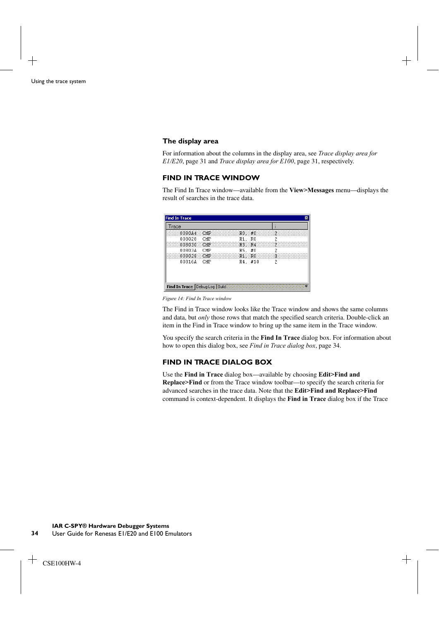#### **The display area**

For information about the columns in the display area, see *[Trace display area for](#page-30-1)  E1/E20*[, page 31](#page-30-1) and *[Trace display area for E100](#page-30-0)*, page 31, respectively.

## <span id="page-33-0"></span>**FIND IN TRACE WINDOW**

The Find In Trace window—available from the **View>Messages** menu—displays the result of searches in the trace data.

| <b>Find In Trace</b>          |     |                                                                                                       |
|-------------------------------|-----|-------------------------------------------------------------------------------------------------------|
| <b>Trace</b>                  |     |                                                                                                       |
| U080A4                        |     | 2<br>R0. I                                                                                            |
| 008028                        | CMP | R0<br>R1.                                                                                             |
| ***************<br>           |     | <br><b></b><br>::::::<br>- 124<br>R3.<br><br>                                                         |
| 00803A                        | ∩MP | #0<br>R5.                                                                                             |
| <b></b><br>008028             | CMP | <br>Ũ<br><b>ASS 685 585 555 555</b><br>$R1$ .<br>ROBBERG<br>-------------------------------------<br> |
| 00816A                        | CMP | R4. #10                                                                                               |
|                               |     |                                                                                                       |
|                               |     |                                                                                                       |
|                               |     |                                                                                                       |
| Find In Trace Debug Log Build |     |                                                                                                       |

*Figure 14: Find In Trace window*

The Find in Trace window looks like the Trace window and shows the same columns and data, but *only* those rows that match the specified search criteria. Double-click an item in the Find in Trace window to bring up the same item in the Trace window.

You specify the search criteria in the **Find In Trace** dialog box. For information about how to open this dialog box, see *[Find in Trace dialog box](#page-33-1)*, page 34.

## <span id="page-33-1"></span>**FIND IN TRACE DIALOG BOX**

Use the **Find in Trace** dialog box—available by choosing **Edit>Find and Replace>Find** or from the Trace window toolbar—to specify the search criteria for advanced searches in the trace data. Note that the **Edit>Find and Replace>Find** command is context-dependent. It displays the **Find in Trace** dialog box if the Trace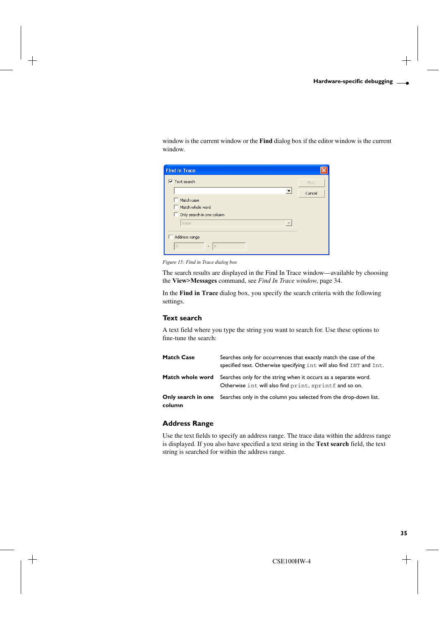window is the current window or the **Find** dialog box if the editor window is the current window.

| <b>Find in Trace</b>                   |        |
|----------------------------------------|--------|
| $\overline{\mathbf{v}}$ Text search    | Find   |
|                                        | Cancel |
| Match case                             |        |
| Match whole word                       |        |
| Only search in one column              |        |
| Trace                                  |        |
|                                        |        |
| Address range                          |        |
| $\overline{0}$<br>Ιo<br>$\overline{a}$ |        |

*Figure 15: Find in Trace dialog box*

The search results are displayed in the Find In Trace window—available by choosing the **View>Messages** command, see *[Find In Trace window](#page-33-0)*, page 34.

In the **Find in Trace** dialog box, you specify the search criteria with the following settings.

## **Text search**

A text field where you type the string you want to search for. Use these options to fine-tune the search:

| <b>Match Case</b> | Searches only for occurrences that exactly match the case of the<br>specified text. Otherwise specifying int will also find INT and Int. |
|-------------------|------------------------------------------------------------------------------------------------------------------------------------------|
| Match whole word  | Searches only for the string when it occurs as a separate word.<br>Otherwise int will also find print, sprintf and so on.                |
| column            | <b>Only search in one</b> Searches only in the column you selected from the drop-down list.                                              |

## **Address Range**

Use the text fields to specify an address range. The trace data within the address range is displayed. If you also have specified a text string in the **Text search** field, the text string is searched for within the address range.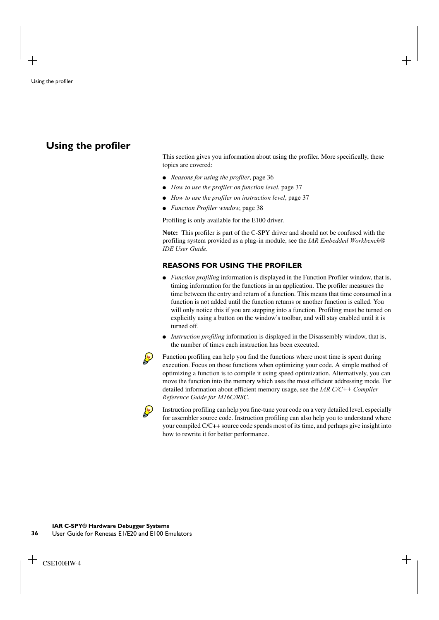## <span id="page-35-0"></span>**Using the profiler**

This section gives you information about using the profiler. More specifically, these topics are covered:

- *[Reasons for using the profiler](#page-35-1)*, page 36
- *[How to use the profiler on function level](#page-36-0)*, page 37
- *[How to use the profiler on instruction level](#page-36-1), page 37*
- *[Function Profiler window](#page-37-0)*, page 38

Profiling is only available for the E100 driver.

**Note:** This profiler is part of the C-SPY driver and should not be confused with the profiling system provided as a plug-in module, see the *IAR Embedded Workbench® IDE User Guide*.

## <span id="page-35-1"></span>**REASONS FOR USING THE PROFILER**

- *Function profiling* information is displayed in the Function Profiler window, that is, timing information for the functions in an application. The profiler measures the time between the entry and return of a function. This means that time consumed in a function is not added until the function returns or another function is called. You will only notice this if you are stepping into a function. Profiling must be turned on explicitly using a button on the window's toolbar, and will stay enabled until it is turned off.
- *Instruction profiling* information is displayed in the Disassembly window, that is, the number of times each instruction has been executed.



Function profiling can help you find the functions where most time is spent during execution. Focus on those functions when optimizing your code. A simple method of optimizing a function is to compile it using speed optimization. Alternatively, you can move the function into the memory which uses the most efficient addressing mode. For detailed information about efficient memory usage, see the *IAR C/C++ Compiler Reference Guide for M16C/R8C*.



Instruction profiling can help you fine-tune your code on a very detailed level, especially for assembler source code. Instruction profiling can also help you to understand where your compiled C/C++ source code spends most of its time, and perhaps give insight into how to rewrite it for better performance.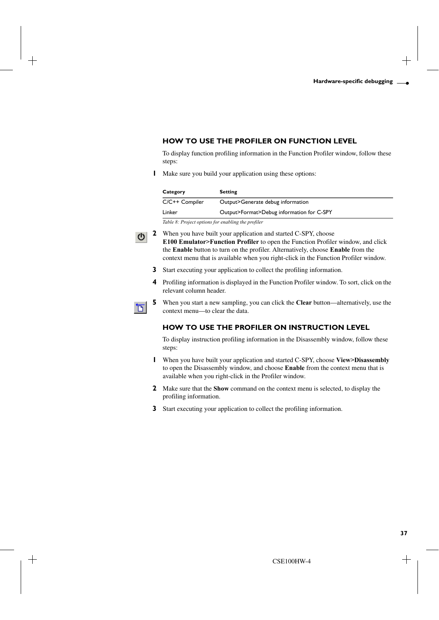## <span id="page-36-0"></span>**HOW TO USE THE PROFILER ON FUNCTION LEVEL**

To display function profiling information in the Function Profiler window, follow these steps:

**1** Make sure you build your application using these options:

| Category       | <b>Setting</b>                            |
|----------------|-------------------------------------------|
| C/C++ Compiler | Output>Generate debug information         |
| Linker         | Output>Format>Debug information for C-SPY |
|                |                                           |

*Table 8: Project options for enabling the profiler* 



**2** When you have built your application and started C-SPY, choose **E100 Emulator>Function Profiler** to open the Function Profiler window, and click the **Enable** button to turn on the profiler. Alternatively, choose **Enable** from the context menu that is available when you right-click in the Function Profiler window.

- **3** Start executing your application to collect the profiling information.
- **4** Profiling information is displayed in the Function Profiler window. To sort, click on the relevant column header.



**5** When you start a new sampling, you can click the **Clear** button—alternatively, use the context menu—to clear the data.

## <span id="page-36-1"></span>**HOW TO USE THE PROFILER ON INSTRUCTION LEVEL**

To display instruction profiling information in the Disassembly window, follow these steps:

- **1** When you have built your application and started C-SPY, choose **View>Disassembly** to open the Disassembly window, and choose **Enable** from the context menu that is available when you right-click in the Profiler window.
- **2** Make sure that the **Show** command on the context menu is selected, to display the profiling information.
- **3** Start executing your application to collect the profiling information.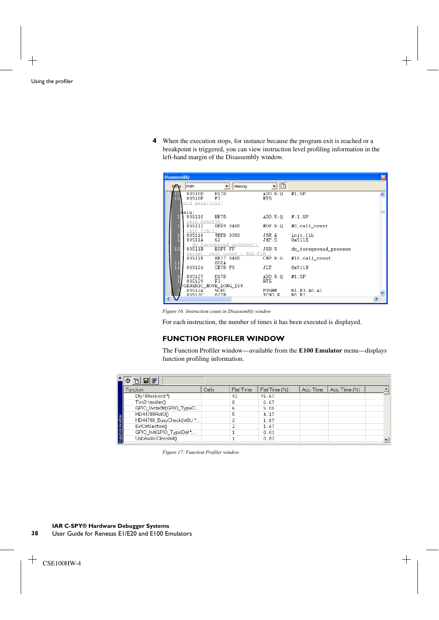**4** When the execution stops, for instance because the program exit is reached or a breakpoint is triggered, you can view instruction level profiling information in the left-hand margin of the Disassembly window.

| <b>Disassembly</b> |                                    |                                                   |                                    |                               | 冈 |
|--------------------|------------------------------------|---------------------------------------------------|------------------------------------|-------------------------------|---|
| n to               | lmain.                             | Memory                                            | $\Box$<br>$\overline{\phantom{a}}$ |                               |   |
| 10 <sub>1</sub>    | 00510D<br>00510F<br>oid main(void) | <b>B17D</b><br>F3                                 | ADD.W:O<br>RTS.                    | $#1$ . SP                     |   |
|                    | lain:<br>005110<br>call count=0;   | BF7D                                              | ADD.W:O                            | $#-1$ .SP                     |   |
|                    | 005112<br>$\int$ init fib();       | 0FD9 0400                                         | MOV, W:O                           | $#0$ , call count             |   |
|                    | 005116<br>00511A                   | 9BFD 0050<br>62<br>do foreground process();       | JSR.A<br>JMP S                     | init fib<br>0x511E            |   |
| 10                 | 00511B                             | EOF5 FF<br>while( $\verb call  count < MAX FIB$ ) | JSR.W                              | do foreground process         |   |
|                    | 00511E                             | 8F77 0400<br>000A                                 | CMP.W:G                            | $#10$ , call count            |   |
| 11<br>11           | 005124                             | CE7D F5                                           | JLT                                | 0x511B                        |   |
|                    | 005127<br>005129                   | <b>B17D</b><br>F3<br>GENERIC_MOVE_LONG_L08:       | ADD.W:O<br><b>RTS</b>              | $#1$ .SP                      |   |
|                    | 00512A<br>005120                   | 5CEC<br>027R                                      | PUSHM<br>YOHG M                    | R1, R3, A0, A1<br>$P_0$ $P_2$ |   |
|                    | <b>TITLE</b>                       |                                                   |                                    |                               |   |

*Figure 16: Instruction count in Disassembly window*

For each instruction, the number of times it has been executed is displayed.

## <span id="page-37-0"></span>**FUNCTION PROFILER WINDOW**

The Function Profiler window—available from the **E100 Emulator** menu—displays function profiling information.

|                          | GIF                      |       |           |               |           |               |  |
|--------------------------|--------------------------|-------|-----------|---------------|-----------|---------------|--|
|                          | Function                 | Calls | Flat Time | Flat Time (%) | Acc. Time | Acc. Time (%) |  |
|                          | Dly100us(void*)          |       | 92        | 76.67         |           |               |  |
|                          | Tim2Handler()            |       | 8         | 6.67          |           |               |  |
|                          | GPIO_WriteBit(GPIO_TypeD |       | 6         | 5.00          |           |               |  |
|                          | HD44780RdIO()            |       | 5         | 4.17          |           |               |  |
|                          | HD44780_BusyCheck(Int8U* |       | o.        | 1.67          |           |               |  |
|                          | ExtCritSection()         |       |           | 1.67          |           |               |  |
|                          | GPIO_Init(GPIO_TypeDef*, |       |           | 0.83          |           |               |  |
| <b>Function Profiler</b> | UsbAudioClassInit()      |       |           | 0.83          |           |               |  |

*Figure 17: Function Profiler window*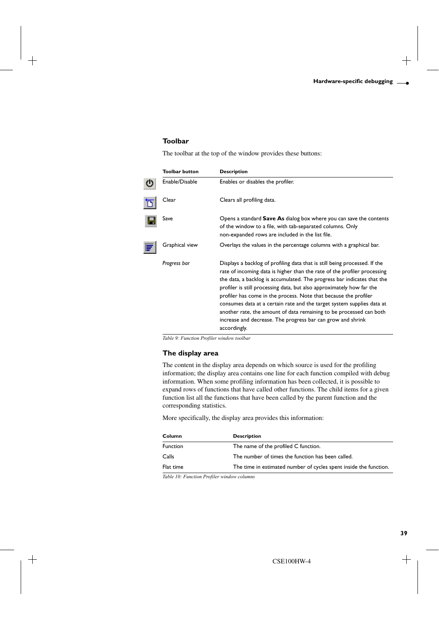## **Toolbar**

The toolbar at the top of the window provides these buttons:

| <b>Toolbar button</b> | <b>Description</b>                                                                                                                                                                                                                                                                                                                                                                                                                                                                                                                                                                                             |
|-----------------------|----------------------------------------------------------------------------------------------------------------------------------------------------------------------------------------------------------------------------------------------------------------------------------------------------------------------------------------------------------------------------------------------------------------------------------------------------------------------------------------------------------------------------------------------------------------------------------------------------------------|
| Enable/Disable        | Enables or disables the profiler.                                                                                                                                                                                                                                                                                                                                                                                                                                                                                                                                                                              |
| Clear                 | Clears all profiling data.                                                                                                                                                                                                                                                                                                                                                                                                                                                                                                                                                                                     |
| Save                  | Opens a standard <b>Save As</b> dialog box where you can save the contents<br>of the window to a file, with tab-separated columns. Only<br>non-expanded rows are included in the list file.                                                                                                                                                                                                                                                                                                                                                                                                                    |
| Graphical view        | Overlays the values in the percentage columns with a graphical bar.                                                                                                                                                                                                                                                                                                                                                                                                                                                                                                                                            |
| Progress bar          | Displays a backlog of profiling data that is still being processed. If the<br>rate of incoming data is higher than the rate of the profiler processing<br>the data, a backlog is accumulated. The progress bar indicates that the<br>profiler is still processing data, but also approximately how far the<br>profiler has come in the process. Note that because the profiler<br>consumes data at a certain rate and the target system supplies data at<br>another rate, the amount of data remaining to be processed can both<br>increase and decrease. The progress bar can grow and shrink<br>accordingly. |

*Table 9: Function Profiler window toolbar*

## **The display area**

The content in the display area depends on which source is used for the profiling information; the display area contains one line for each function compiled with debug information. When some profiling information has been collected, it is possible to expand rows of functions that have called other functions. The child items for a given function list all the functions that have been called by the parent function and the corresponding statistics.

More specifically, the display area provides this information:

| Column          | <b>Description</b>                                                |
|-----------------|-------------------------------------------------------------------|
| <b>Function</b> | The name of the profiled C function.                              |
| Calls           | The number of times the function has been called.                 |
| Flat time       | The time in estimated number of cycles spent inside the function. |

*Table 10: Function Profiler window columns*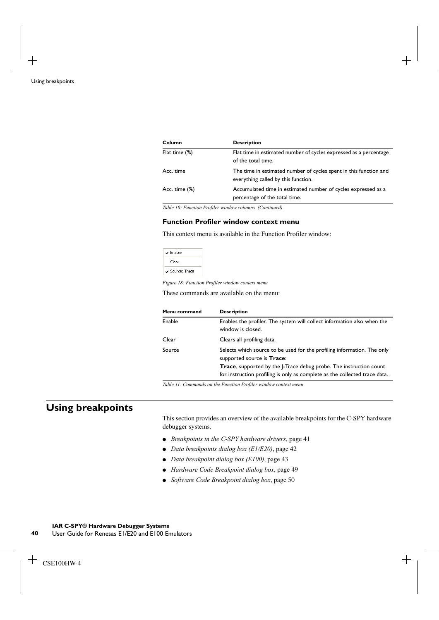| Column           | <b>Description</b>                                                                                       |
|------------------|----------------------------------------------------------------------------------------------------------|
| Flat time (%)    | Flat time in estimated number of cycles expressed as a percentage<br>of the total time.                  |
| Acc. time        | The time in estimated number of cycles spent in this function and<br>everything called by this function. |
| Acc. time $(\%)$ | Accumulated time in estimated number of cycles expressed as a<br>percentage of the total time.           |

*Table 10: Function Profiler window columns (Continued)*

#### **Function Profiler window context menu**

This context menu is available in the Function Profiler window:

| $\overline{\phantom{a}}$ Fnable |
|---------------------------------|
| Clear                           |
| $\checkmark$ Source: Trace      |

*Figure 18: Function Profiler window context menu*

These commands are available on the menu:

| Menu command | <b>Description</b>                                                                                                                                              |
|--------------|-----------------------------------------------------------------------------------------------------------------------------------------------------------------|
| Enable       | Enables the profiler. The system will collect information also when the<br>window is closed.                                                                    |
| Clear        | Clears all profiling data.                                                                                                                                      |
| Source       | Selects which source to be used for the profiling information. The only<br>supported source is Trace:                                                           |
|              | <b>Trace</b> , supported by the <i>-Trace debug probe</i> . The instruction count<br>for instruction profiling is only as complete as the collected trace data. |

*Table 11: Commands on the Function Profiler window context menu*

## <span id="page-39-0"></span>**Using breakpoints**

This section provides an overview of the available breakpoints for the C-SPY hardware debugger systems.

- *[Breakpoints in the C-SPY hardware drivers](#page-40-0)*, page 41
- *[Data breakpoints dialog box \(E1/E20\)](#page-41-0)*, page 42
- *[Data breakpoint dialog box \(E100\)](#page-42-0)*, page 43
- *[Hardware Code Breakpoint dialog box](#page-48-0)*, page 49
- *[Software Code Breakpoint dialog box](#page-49-0)*, page 50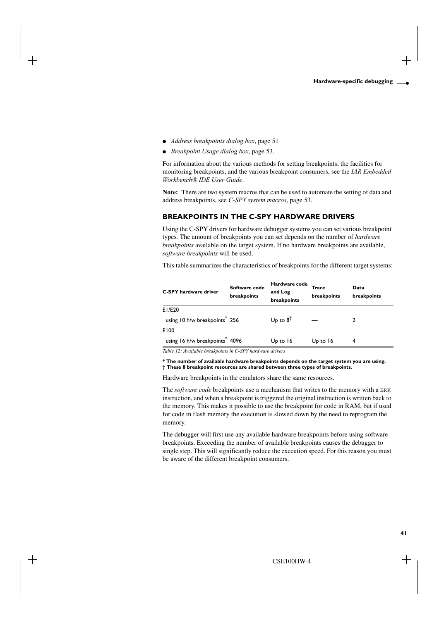- *[Address breakpoints dialog box](#page-50-0)*, page 51
- *[Breakpoint Usage dialog box](#page-52-0)*, page 53.

For information about the various methods for setting breakpoints, the facilities for monitoring breakpoints, and the various breakpoint consumers, see the *IAR Embedded Workbench® IDE User Guide*.

**Note:** There are two system macros that can be used to automate the setting of data and address breakpoints, see *[C-SPY system macros](#page-52-1)*, page 53.

## <span id="page-40-0"></span>**BREAKPOINTS IN THE C-SPY HARDWARE DRIVERS**

Using the C-SPY drivers for hardware debugger systems you can set various breakpoint types. The amount of breakpoints you can set depends on the number of *hardware breakpoints* available on the target system. If no hardware breakpoints are available, *software breakpoints* will be used.

This table summarizes the characteristics of breakpoints for the different target systems:

| <b>C-SPY hardware driver</b>               | Software code<br>breakpoints | Hardware code<br>and Log<br>breakpoints | Trace<br>breakpoints | Data<br>breakpoints |
|--------------------------------------------|------------------------------|-----------------------------------------|----------------------|---------------------|
| E1/E20                                     |                              |                                         |                      |                     |
| using 10 h/w breakpoints <sup>*</sup> 256  |                              | Up to $8^{\dagger}$                     |                      |                     |
| E100                                       |                              |                                         |                      |                     |
| using 16 h/w breakpoints <sup>*</sup> 4096 |                              | Up to $16$                              | Up to $16$           | 4                   |

*Table 12: Available breakpoints in C-SPY hardware drivers*

**\* The number of available hardware breakpoints depends on the target system you are using. † These 8 breakpoint resources are shared between three types of breakpoints.**

Hardware breakpoints in the emulators share the same resources.

The *software code* breakpoints use a mechanism that writes to the memory with a BRK instruction, and when a breakpoint is triggered the original instruction is written back to the memory. This makes it possible to use the breakpoint for code in RAM, but if used for code in flash memory the execution is slowed down by the need to reprogram the memory.

The debugger will first use any available hardware breakpoints before using software breakpoints. Exceeding the number of available breakpoints causes the debugger to single step. This will significantly reduce the execution speed. For this reason you must be aware of the different breakpoint consumers.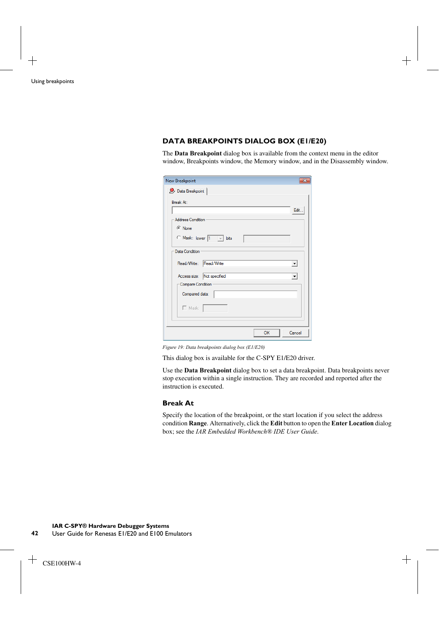## <span id="page-41-0"></span>**DATA BREAKPOINTS DIALOG BOX (E1/E20)**

The **Data Breakpoint** dialog box is available from the context menu in the editor window, Breakpoints window, the Memory window, and in the Disassembly window.

| New Breakpoint<br>$\overline{\mathbf{x}}$          |
|----------------------------------------------------|
| Data Breakpoint                                    |
| Break At:                                          |
| Edit                                               |
| Address Condition                                  |
| C None                                             |
| C Mask: lower 1 - bits                             |
| Data Condition                                     |
| Read/Write: Read/Write<br>$\blacktriangledown$     |
| Access size: Not specified<br>$\blacktriangledown$ |
| Compare Condition                                  |
| Compared data:                                     |
| $\Box$ Mask:                                       |
| Cancel<br>OK                                       |

*Figure 19: Data breakpoints dialog box (E1/E20)*

This dialog box is available for the C-SPY E1/E20 driver.

Use the **Data Breakpoint** dialog box to set a data breakpoint. Data breakpoints never stop execution within a single instruction. They are recorded and reported after the instruction is executed.

## **Break At**

Specify the location of the breakpoint, or the start location if you select the address condition **Range**. Alternatively, click the **Edit** button to open the **Enter Location** dialog box; see the *IAR Embedded Workbench® IDE User Guide*.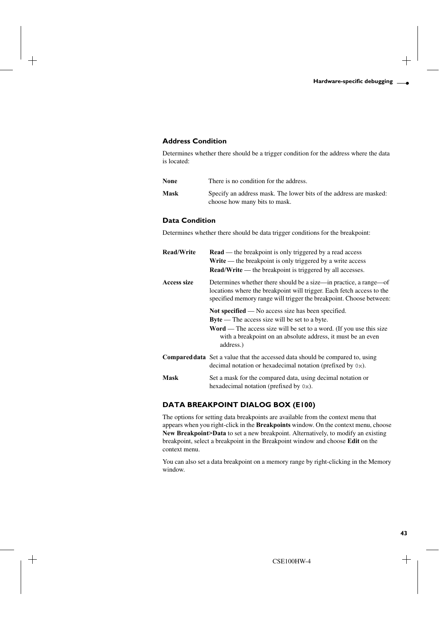## **Address Condition**

Determines whether there should be a trigger condition for the address where the data is located:

| There is no condition for the address.                                                              |
|-----------------------------------------------------------------------------------------------------|
| Specify an address mask. The lower bits of the address are masked:<br>choose how many bits to mask. |
|                                                                                                     |

## **Data Condition**

Determines whether there should be data trigger conditions for the breakpoint:

| <b>Read/Write</b> | <b>Read</b> — the breakpoint is only triggered by a read access<br>$Write$ — the breakpoint is only triggered by a write access<br>$Read/Write$ — the breakpoint is triggered by all accesses.                                                                 |
|-------------------|----------------------------------------------------------------------------------------------------------------------------------------------------------------------------------------------------------------------------------------------------------------|
| Access size       | Determines whether there should be a size—in practice, a range—of<br>locations where the breakpoint will trigger. Each fetch access to the<br>specified memory range will trigger the breakpoint. Choose between:                                              |
|                   | Not specified $-$ No access size has been specified.<br>$B$ yte — The access size will be set to a byte.<br>$Word$ — The access size will be set to a word. (If you use this size<br>with a breakpoint on an absolute address, it must be an even<br>address.) |
|                   | <b>Compared data</b> Set a value that the accessed data should be compared to, using<br>decimal notation or hexadecimal notation (prefixed by $0x$ ).                                                                                                          |
| <b>Mask</b>       | Set a mask for the compared data, using decimal notation or<br>hexadecimal notation (prefixed by $0x$ ).                                                                                                                                                       |

## <span id="page-42-0"></span>**DATA BREAKPOINT DIALOG BOX (E100)**

The options for setting data breakpoints are available from the context menu that appears when you right-click in the **Breakpoints** window. On the context menu, choose **New Breakpoint>Data** to set a new breakpoint. Alternatively, to modify an existing breakpoint, select a breakpoint in the Breakpoint window and choose **Edit** on the context menu.

You can also set a data breakpoint on a memory range by right-clicking in the Memory window.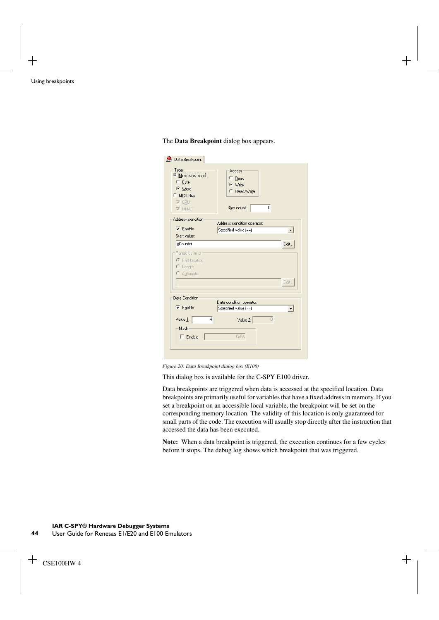|  |  | The Data Breakpoint dialog box appears. |  |  |  |  |
|--|--|-----------------------------------------|--|--|--|--|
|--|--|-----------------------------------------|--|--|--|--|

| Type<br>Mnemonic level<br>C Byte<br>C Word<br>C MCU Bus<br><b>▽</b> CPU<br>$\nabla$ DMAC<br>Address condition | Access<br>C Read<br>C Write<br>C Read/Write<br>Skip count:<br>0 |       |
|---------------------------------------------------------------------------------------------------------------|-----------------------------------------------------------------|-------|
|                                                                                                               | Address condition operator:                                     |       |
| $\nabla$ Enable                                                                                               | Specified value (==)                                            |       |
| Start value:                                                                                                  |                                                                 |       |
| gCounter                                                                                                      |                                                                 | Edit. |
| Range delimiter-                                                                                              |                                                                 |       |
| C End location                                                                                                |                                                                 |       |
| $C$ Length                                                                                                    |                                                                 |       |
| C Automatic                                                                                                   |                                                                 |       |
|                                                                                                               |                                                                 | Edit  |
|                                                                                                               |                                                                 |       |
| Data Condition                                                                                                |                                                                 |       |
|                                                                                                               | Data condition operator:                                        |       |
| $\nabla$ Enable                                                                                               | Specified value (==)                                            |       |
| 4<br>Value 1:                                                                                                 | $\Box$<br>Value $2:$                                            |       |
| Mask                                                                                                          |                                                                 |       |
|                                                                                                               |                                                                 |       |
| $\Box$ Enable                                                                                                 | 0xFA                                                            |       |

*Figure 20: Data Breakpoint dialog box (E100)*

This dialog box is available for the C-SPY E100 driver.

Data breakpoints are triggered when data is accessed at the specified location. Data breakpoints are primarily useful for variables that have a fixed address in memory. If you set a breakpoint on an accessible local variable, the breakpoint will be set on the corresponding memory location. The validity of this location is only guaranteed for small parts of the code. The execution will usually stop directly after the instruction that accessed the data has been executed.

**Note:** When a data breakpoint is triggered, the execution continues for a few cycles before it stops. The debug log shows which breakpoint that was triggered.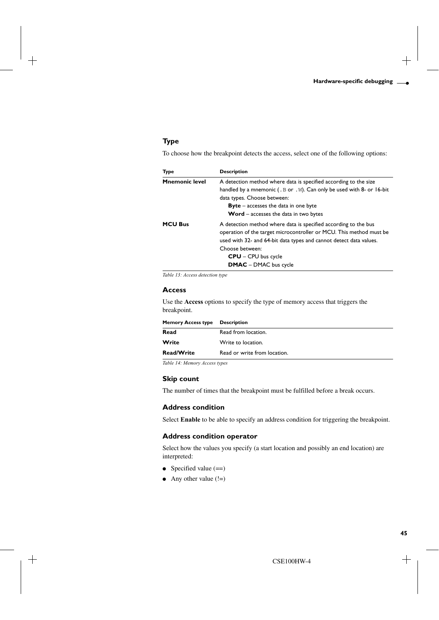## **Type**

To choose how the breakpoint detects the access, select one of the following options:

| Type                  | <b>Description</b>                                                                                                                                                                                           |
|-----------------------|--------------------------------------------------------------------------------------------------------------------------------------------------------------------------------------------------------------|
| <b>Mnemonic level</b> | A detection method where data is specified according to the size                                                                                                                                             |
|                       | handled by a mnemonic (. B or . W). Can only be used with 8- or 16-bit                                                                                                                                       |
|                       | data types. Choose between:                                                                                                                                                                                  |
|                       | <b>Byte</b> – accesses the data in one byte                                                                                                                                                                  |
|                       | <b>Word</b> – accesses the data in two bytes                                                                                                                                                                 |
| <b>MCU Bus</b>        | A detection method where data is specified according to the bus<br>operation of the target microcontroller or MCU. This method must be<br>used with 32- and 64-bit data types and cannot detect data values. |
|                       | Choose between:                                                                                                                                                                                              |
|                       | <b>CPU</b> – CPU bus cycle                                                                                                                                                                                   |
|                       | <b>DMAC</b> – DMAC bus cycle                                                                                                                                                                                 |

*Table 13: Access detection type*

#### **Access**

Use the **Access** options to specify the type of memory access that triggers the breakpoint.

| <b>Memory Access type Description</b> |                              |
|---------------------------------------|------------------------------|
| Read                                  | Read from location.          |
| Write                                 | Write to location.           |
| <b>Read/Write</b>                     | Read or write from location. |

*Table 14: Memory Access types*

## **Skip count**

The number of times that the breakpoint must be fulfilled before a break occurs.

## **Address condition**

Select **Enable** to be able to specify an address condition for triggering the breakpoint.

## **Address condition operator**

Select how the values you specify (a start location and possibly an end location) are interpreted:

- Specified value  $(==)$
- Any other value  $(!=)$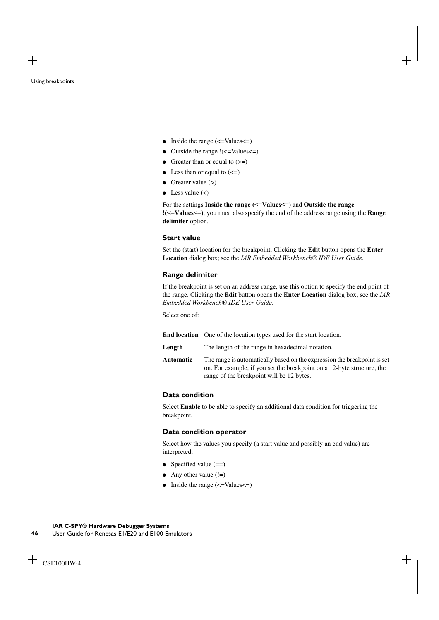- Inside the range  $(\le$  Values $\le$  =)
- Outside the range  $!$  (<=Values <= )
- Greater than or equal to  $(>=)$
- Less than or equal to  $(\leq)$
- Greater value  $(>)$
- $\bullet$  Less value  $\left\langle \epsilon \right\rangle$

For the settings **Inside the range (<=Values<=)** and **Outside the range !(<=Values<=)**, you must also specify the end of the address range using the **Range delimiter** option.

#### **Start value**

Set the (start) location for the breakpoint. Clicking the **Edit** button opens the **Enter Location** dialog box; see the *IAR Embedded Workbench® IDE User Guide*.

#### **Range delimiter**

If the breakpoint is set on an address range, use this option to specify the end point of the range. Clicking the **Edit** button opens the **Enter Location** dialog box; see the *IAR Embedded Workbench® IDE User Guide*.

Select one of:

|                  | <b>End location</b> One of the location types used for the start location.                                                                                                                      |
|------------------|-------------------------------------------------------------------------------------------------------------------------------------------------------------------------------------------------|
| Length           | The length of the range in hexadecimal notation.                                                                                                                                                |
| <b>Automatic</b> | The range is automatically based on the expression the breakpoint is set<br>on. For example, if you set the breakpoint on a 12-byte structure, the<br>range of the breakpoint will be 12 bytes. |

## **Data condition**

Select **Enable** to be able to specify an additional data condition for triggering the breakpoint.

#### **Data condition operator**

Select how the values you specify (a start value and possibly an end value) are interpreted:

- Specified value  $(==)$
- Any other value  $(!=)$
- Inside the range (<=Values<=)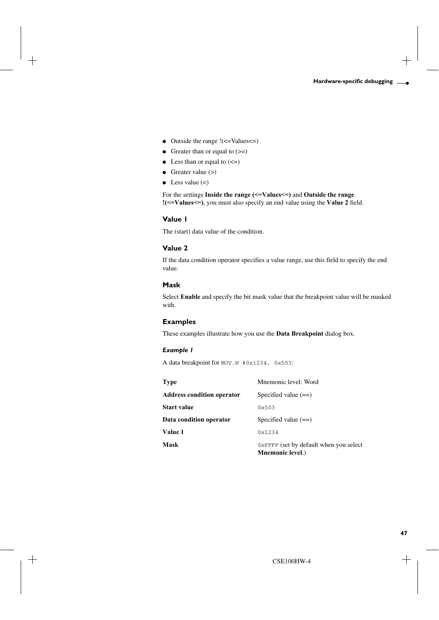- Outside the range !(<=Values<=)
- Greater than or equal to  $(>=)$
- Less than or equal to  $(\leq)$
- Greater value  $(>)$
- $\bullet$  Less value  $\left\langle \epsilon \right\rangle$

For the settings **Inside the range (<=Values<=)** and **Outside the range !(<=Values<=)**, you must also specify an end value using the **Value 2** field.

## **Value 1**

The (start) data value of the condition.

## **Value 2**

If the data condition operator specifies a value range, use this field to specify the end value.

## **Mask**

Select **Enable** and specify the bit mask value that the breakpoint value will be masked with.

## **Examples**

These examples illustrate how you use the **Data Breakpoint** dialog box.

#### *Example 1*

A data breakpoint for MOV.W #0x1234, 0x503:

| Type                              | Mnemonic level: Word                                                       |
|-----------------------------------|----------------------------------------------------------------------------|
| <b>Address condition operator</b> | Specified value $(==)$                                                     |
| <b>Start value</b>                | 0x503                                                                      |
| Data condition operator           | Specified value $(==)$                                                     |
| <b>Value 1</b>                    | 0x1234                                                                     |
| Mask                              | $0 \times$ FFFF (set by default when you select<br><b>Mnemonic level.)</b> |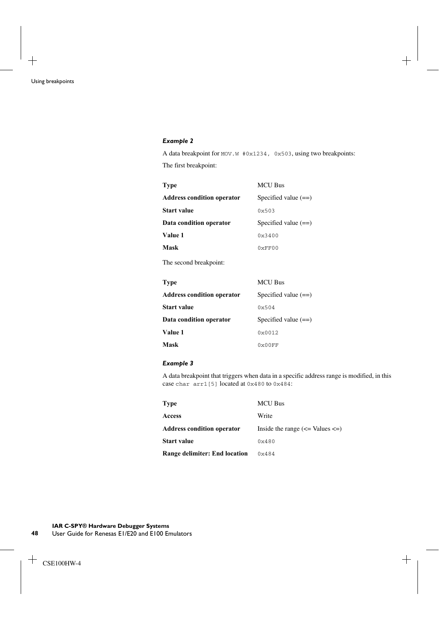#### *Example 2*

A data breakpoint for MOV.W #0x1234, 0x503, using two breakpoints: The first breakpoint:

| <b>Type</b>                       | <b>MCU Bus</b>         |
|-----------------------------------|------------------------|
| <b>Address condition operator</b> | Specified value $(==)$ |
| Start value                       | 0x503                  |
| Data condition operator           | Specified value $(==)$ |
| Value 1                           | 0x3400                 |
| Mask                              | 0xFF00                 |
| The second breakpoint:            |                        |
| <b>Type</b>                       | <b>MCU Bus</b>         |
| <b>Address condition operator</b> | Specified value $(==)$ |
| Start value                       | 0x504                  |
| D. 1929.                          |                        |

| лиигсээ сонингон орсгатог | $\sigma$               |
|---------------------------|------------------------|
| <b>Start value</b>        | 0x504                  |
| Data condition operator   | Specified value $(==)$ |
| Value 1                   | $0 \times 0012$        |
| Mask                      | 0x00FF                 |

## *Example 3*

A data breakpoint that triggers when data in a specific address range is modified, in this case char arr1[5] located at 0x480 to 0x484:

| <b>Type</b>                       | <b>MCU Bus</b>                             |
|-----------------------------------|--------------------------------------------|
| Access                            | Write                                      |
| <b>Address condition operator</b> | Inside the range $(\le$ Values $\le$ $=$ ) |
| <b>Start value</b>                | 0x480                                      |
| Range delimiter: End location     | 0x484                                      |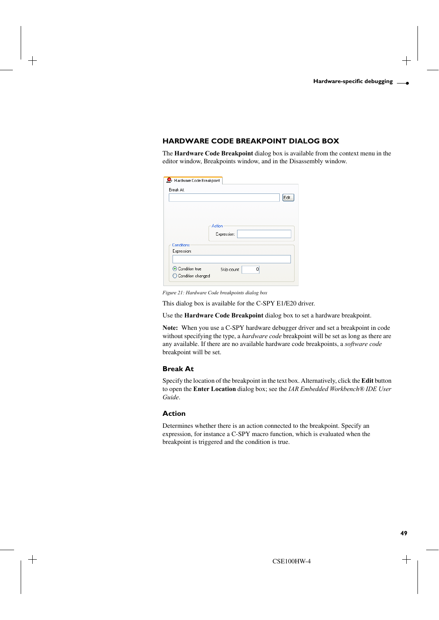## <span id="page-48-0"></span>**HARDWARE CODE BREAKPOINT DIALOG BOX**

The **Hardware Code Breakpoint** dialog box is available from the context menu in the editor window, Breakpoints window, and in the Disassembly window.

| Break At:      |                  | Edit. |
|----------------|------------------|-------|
|                |                  |       |
|                |                  |       |
|                | Action           |       |
|                | Expression:      |       |
|                |                  |       |
| Conditions     |                  |       |
| Expression:    |                  |       |
|                |                  |       |
| Condition true | 0<br>Skip count: |       |
|                |                  |       |

*Figure 21: Hardware Code breakpoints dialog box*

This dialog box is available for the C-SPY E1/E20 driver.

Use the **Hardware Code Breakpoint** dialog box to set a hardware breakpoint.

**Note:** When you use a C-SPY hardware debugger driver and set a breakpoint in code without specifying the type, a *hardware code* breakpoint will be set as long as there are any available. If there are no available hardware code breakpoints, a *software code* breakpoint will be set.

## **Break At**

Specify the location of the breakpoint in the text box. Alternatively, click the **Edit** button to open the **Enter Location** dialog box; see the *IAR Embedded Workbench® IDE User Guide*.

## **Action**

Determines whether there is an action connected to the breakpoint. Specify an expression, for instance a C-SPY macro function, which is evaluated when the breakpoint is triggered and the condition is true.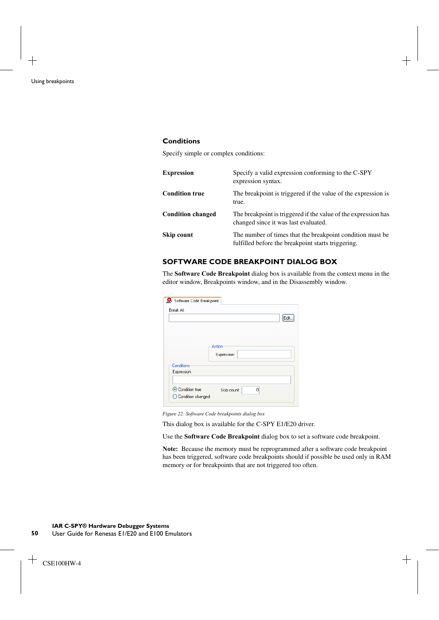## **Conditions**

Specify simple or complex conditions:

| <b>Expression</b>        | Specify a valid expression conforming to the C-SPY<br>expression syntax.                                         |
|--------------------------|------------------------------------------------------------------------------------------------------------------|
| <b>Condition true</b>    | The breakpoint is triggered if the value of the expression is<br>true.                                           |
| <b>Condition changed</b> | The breakpoint is triggered if the value of the expression has<br>changed since it was last evaluated.           |
| Skip count               | The number of times that the breakpoint condition must be.<br>fulfilled before the breakpoint starts triggering. |

## <span id="page-49-0"></span>**SOFTWARE CODE BREAKPOINT DIALOG BOX**

The **Software Code Breakpoint** dialog box is available from the context menu in the editor window, Breakpoints window, and in the Disassembly window.

| Break At:      |                                         |       |
|----------------|-----------------------------------------|-------|
|                |                                         | Edit. |
|                |                                         |       |
|                |                                         |       |
|                | Action                                  |       |
|                | Expression:                             |       |
| Conditions     |                                         |       |
| Expression:    |                                         |       |
|                |                                         |       |
| Condition true | 0<br>Skip count:<br>◯ Condition changed |       |

*Figure 22: Software Code breakpoints dialog box*

This dialog box is available for the C-SPY E1/E20 driver.

Use the **Software Code Breakpoint** dialog box to set a software code breakpoint.

**Note:** Because the memory must be reprogrammed after a software code breakpoint has been triggered, software code breakpoints should if possible be used only in RAM memory or for breakpoints that are not triggered too often.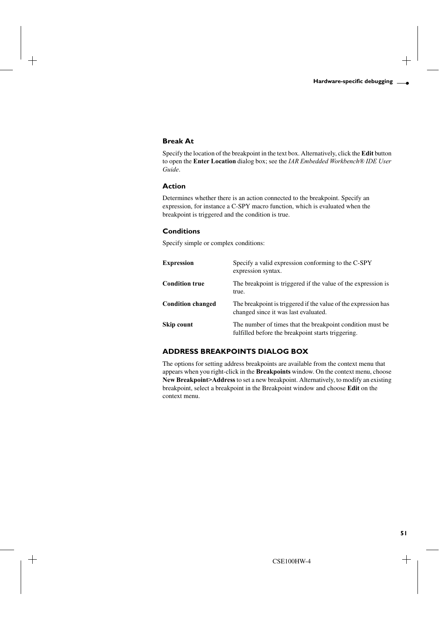## **Break At**

Specify the location of the breakpoint in the text box. Alternatively, click the **Edit** button to open the **Enter Location** dialog box; see the *IAR Embedded Workbench® IDE User Guide*.

## **Action**

Determines whether there is an action connected to the breakpoint. Specify an expression, for instance a C-SPY macro function, which is evaluated when the breakpoint is triggered and the condition is true.

## **Conditions**

Specify simple or complex conditions:

| <b>Expression</b>        | Specify a valid expression conforming to the C-SPY<br>expression syntax.                                         |  |
|--------------------------|------------------------------------------------------------------------------------------------------------------|--|
| <b>Condition true</b>    | The breakpoint is triggered if the value of the expression is<br>true.                                           |  |
| <b>Condition changed</b> | The breakpoint is triggered if the value of the expression has<br>changed since it was last evaluated.           |  |
| Skip count               | The number of times that the breakpoint condition must be.<br>fulfilled before the breakpoint starts triggering. |  |

## <span id="page-50-0"></span>**ADDRESS BREAKPOINTS DIALOG BOX**

The options for setting address breakpoints are available from the context menu that appears when you right-click in the **Breakpoints** window. On the context menu, choose **New Breakpoint>Address** to set a new breakpoint. Alternatively, to modify an existing breakpoint, select a breakpoint in the Breakpoint window and choose **Edit** on the context menu.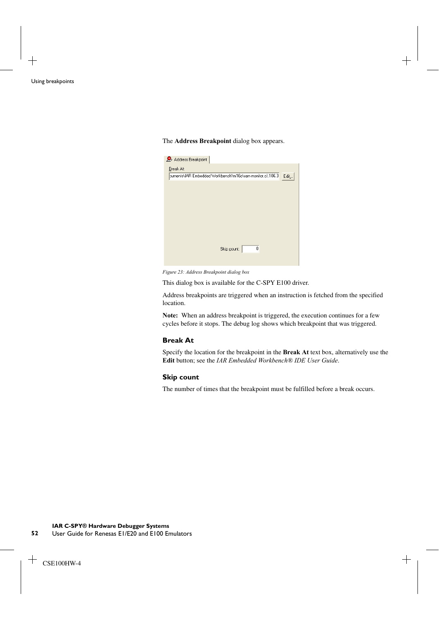#### The **Address Breakpoint** dialog box appears.



*Figure 23: Address Breakpoint dialog box*

This dialog box is available for the C-SPY E100 driver.

Address breakpoints are triggered when an instruction is fetched from the specified location.

**Note:** When an address breakpoint is triggered, the execution continues for a few cycles before it stops. The debug log shows which breakpoint that was triggered.

#### **Break At**

Specify the location for the breakpoint in the **Break At** text box, alternatively use the **Edit** button; see the *IAR Embedded Workbench® IDE User Guide*.

#### **Skip count**

The number of times that the breakpoint must be fulfilled before a break occurs.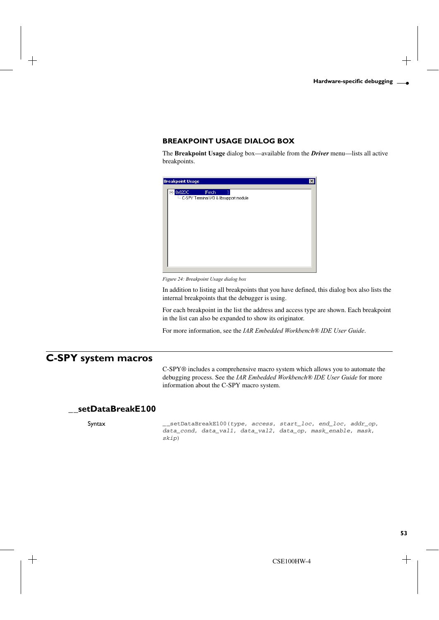## <span id="page-52-0"></span>**BREAKPOINT USAGE DIALOG BOX**

The **Breakpoint Usage** dialog box—available from the *Driver* menu—lists all active breakpoints.



*Figure 24: Breakpoint Usage dialog box*

In addition to listing all breakpoints that you have defined, this dialog box also lists the internal breakpoints that the debugger is using.

For each breakpoint in the list the address and access type are shown. Each breakpoint in the list can also be expanded to show its originator.

For more information, see the *IAR Embedded Workbench® IDE User Guide*.

## <span id="page-52-1"></span>**C-SPY system macros**

C-SPY® includes a comprehensive macro system which allows you to automate the debugging process. See the *IAR Embedded Workbench® IDE User Guide* for more information about the C-SPY macro system.

## **\_\_setDataBreakE100**

Syntax \_\_setDataBreakE100(*type*, *access*, *start\_loc*, *end\_loc*, *addr\_op*, *data\_cond*, *data\_val1*, *data\_val2*, *data\_op*, *mask\_enable*, *mask*, *skip*)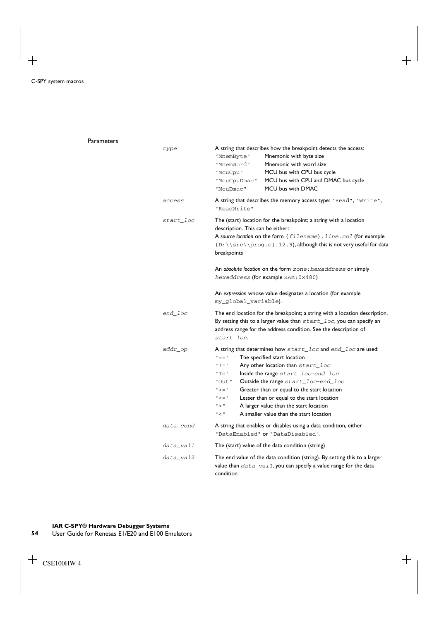| Parameters |           |                                                                                                                                                                                                                                                                                                                                                                                                                                                                                                     |
|------------|-----------|-----------------------------------------------------------------------------------------------------------------------------------------------------------------------------------------------------------------------------------------------------------------------------------------------------------------------------------------------------------------------------------------------------------------------------------------------------------------------------------------------------|
|            | type      | A string that describes how the breakpoint detects the access:<br>Mnemonic with byte size<br>"MnemByte"<br>Mnemonic with word size<br>"MnemWord"<br>MCU bus with CPU bus cycle<br>"McuCpu"<br>MCU bus with CPU and DMAC bus cycle<br>"McuCpuDmac"<br><b>MCU bus with DMAC</b><br>"McuDmac"                                                                                                                                                                                                          |
|            | access    | A string that describes the memory access type: "Read", "Write",<br>"ReadWrite"                                                                                                                                                                                                                                                                                                                                                                                                                     |
|            | start_loc | The (start) location for the breakpoint; a string with a location<br>description. This can be either:<br>A source location on the form $\{filename\}$ . $line.col$ (for example<br>$\{D:\n\arcc\cdot\rho\cos c\}.12.9$ , although this is not very useful for data<br>breakpoints                                                                                                                                                                                                                   |
|            |           | An absolute location on the form zone: hexaddress or simply<br>hexaddress (for example RAM: 0x480)                                                                                                                                                                                                                                                                                                                                                                                                  |
|            |           | An expression whose value designates a location (for example<br>my_global_variable).                                                                                                                                                                                                                                                                                                                                                                                                                |
|            | end_loc   | The end location for the breakpoint; a string with a location description.<br>By setting this to a larger value than $start\_loc$ , you can specify an<br>address range for the address condition. See the description of<br>start loc.                                                                                                                                                                                                                                                             |
|            | addr_op   | A string that determines how $start\_loc$ and $end\_loc$ are used:<br>$" == "$<br>The specified start location<br>$" 1 = "$<br>Any other location than $start\_loc$<br>" Tn "<br>Inside the range start_loc-end_loc<br>Outside the range start_loc-end_loc<br>"Out"<br>$">="$<br>Greater than or equal to the start location<br>$" == "$<br>Lesser than or equal to the start location<br>$"$ > $"$<br>A larger value than the start location<br>$" < "$<br>A smaller value than the start location |
|            | data_cond | A string that enables or disables using a data condition, either<br>"DataEnabled" or "DataDisabled".                                                                                                                                                                                                                                                                                                                                                                                                |
|            | data_val1 | The (start) value of the data condition (string)                                                                                                                                                                                                                                                                                                                                                                                                                                                    |
|            | data val2 | The end value of the data condition (string). By setting this to a larger<br>value than $data\_val1$ , you can specify a value range for the data<br>condition.                                                                                                                                                                                                                                                                                                                                     |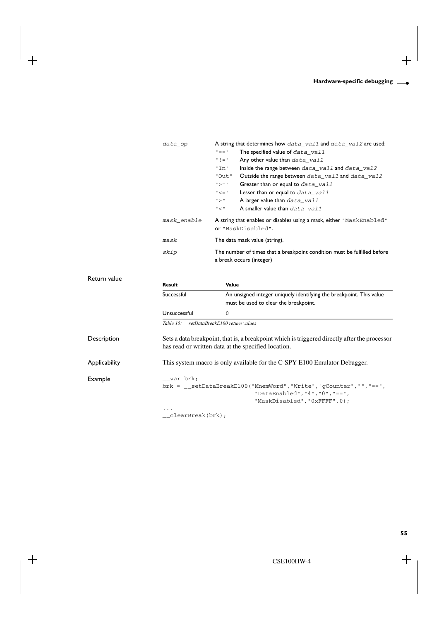| $data\_op$  |                                                                                                      | A string that determines how data_vall and data_vall are used: |
|-------------|------------------------------------------------------------------------------------------------------|----------------------------------------------------------------|
|             | $" == "$                                                                                             | The specified value of data vall                               |
|             | $" \equiv 1"$                                                                                        | Any other value than data_val1                                 |
|             | "In"                                                                                                 | Inside the range between data_vall and data_vall               |
|             | "Out"                                                                                                | Outside the range between data_val1 and data_val2              |
|             | $">="$                                                                                               | Greater than or equal to data_val1                             |
|             | $" == "$                                                                                             | Lesser than or equal to $data\_val1$                           |
|             | " > "                                                                                                | A larger value than data_val1                                  |
|             | $"$ $\lt$ $"$                                                                                        | A smaller value than data vall                                 |
| mask_enable | A string that enables or disables using a mask, either "MaskEnabled"<br>or "MaskDisabled".           |                                                                |
| mask        | The data mask value (string).                                                                        |                                                                |
| skip        | The number of times that a breakpoint condition must be fulfilled before<br>a break occurs (integer) |                                                                |

| Return value  |                                                                           |                                                                                               |
|---------------|---------------------------------------------------------------------------|-----------------------------------------------------------------------------------------------|
|               | Result                                                                    | Value                                                                                         |
|               | Successful                                                                | An unsigned integer uniquely identifying the breakpoint. This value                           |
|               |                                                                           | must be used to clear the breakpoint.                                                         |
|               | Unsuccessful                                                              | 0                                                                                             |
|               |                                                                           | Table 15: setDataBreakE100 return values                                                      |
| Description   |                                                                           | Sets a data breakpoint, that is, a breakpoint which is triggered directly after the processor |
|               |                                                                           | has read or written data at the specified location.                                           |
| Applicability | This system macro is only available for the C-SPY E100 Emulator Debugger. |                                                                                               |
| Example       | var brk;                                                                  |                                                                                               |
|               |                                                                           | brk = __setDataBreakE100("MnemWord","Write","gCounter","","==",                               |
|               |                                                                           | "DataEnabled", "4", "0", "==",                                                                |
|               |                                                                           | "MaskDisabled", "0xFFFF", 0);                                                                 |
|               | $\cdot$                                                                   |                                                                                               |
|               | $_{\rm -}$ clearBreak(brk);                                               |                                                                                               |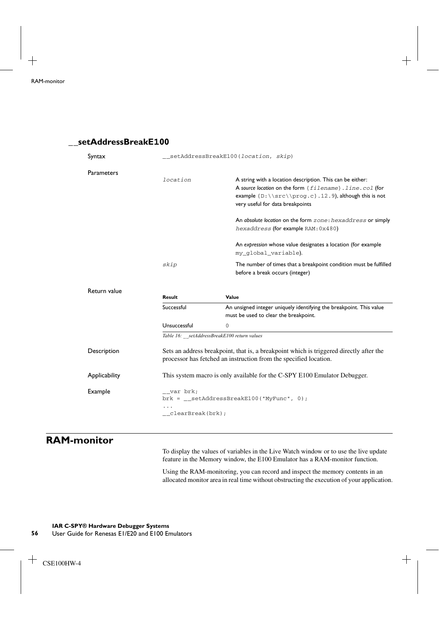## **\_\_setAddressBreakE100**

| Syntax        | __setAddressBreakE100(location, skip)                                                                                                                        |                                                                                                                                                                                                                              |  |
|---------------|--------------------------------------------------------------------------------------------------------------------------------------------------------------|------------------------------------------------------------------------------------------------------------------------------------------------------------------------------------------------------------------------------|--|
| Parameters    | location                                                                                                                                                     | A string with a location description. This can be either:<br>A source location on the form {filename}.line.col (for<br>example $\{D:\ \succeq\ \propto. c\}.12.9$ , although this is not<br>very useful for data breakpoints |  |
|               |                                                                                                                                                              | An absolute location on the form zone: hexaddress or simply<br>hexaddress (for example RAM: 0x480)                                                                                                                           |  |
|               |                                                                                                                                                              | An expression whose value designates a location (for example<br>my_global_variable).                                                                                                                                         |  |
|               | skip                                                                                                                                                         | The number of times that a breakpoint condition must be fulfilled<br>before a break occurs (integer)                                                                                                                         |  |
| Return value  | Result                                                                                                                                                       | Value                                                                                                                                                                                                                        |  |
|               | Successful                                                                                                                                                   | An unsigned integer uniquely identifying the breakpoint. This value<br>must be used to clear the breakpoint.                                                                                                                 |  |
|               | Unsuccessful                                                                                                                                                 | $\mathbf 0$                                                                                                                                                                                                                  |  |
|               | Table 16: setAddressBreakE100 return values                                                                                                                  |                                                                                                                                                                                                                              |  |
| Description   | Sets an address breakpoint, that is, a breakpoint which is triggered directly after the<br>processor has fetched an instruction from the specified location. |                                                                                                                                                                                                                              |  |
| Applicability | This system macro is only available for the C-SPY E100 Emulator Debugger.                                                                                    |                                                                                                                                                                                                                              |  |
| Example       | $_{-}$ var brk;<br>$brk =$ __setAddressBreakE100("MyFunc", 0);<br>__clearBreak(brk);                                                                         |                                                                                                                                                                                                                              |  |

## <span id="page-55-0"></span>**RAM-monitor**

To display the values of variables in the Live Watch window or to use the live update feature in the Memory window, the E100 Emulator has a RAM-monitor function.

Using the RAM-monitoring, you can record and inspect the memory contents in an allocated monitor area in real time without obstructing the execution of your application.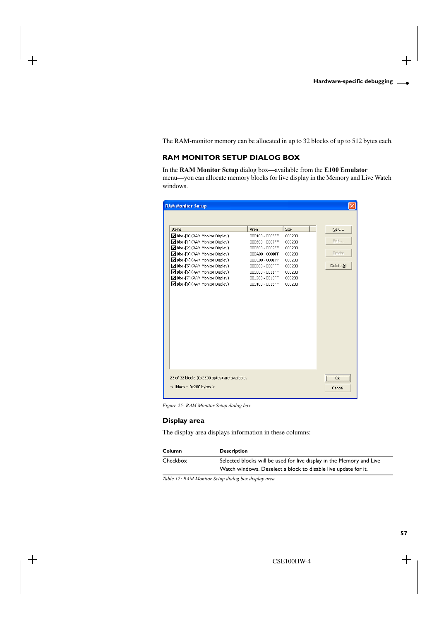The RAM-monitor memory can be allocated in up to 32 blocks of up to 512 bytes each.

## <span id="page-56-0"></span>**RAM MONITOR SETUP DIALOG BOX**

In the **RAM Monitor Setup** dialog box—available from the **E100 Emulator**

menu—you can allocate memory blocks for live display in the Memory and Live Watch windows.

| <b>RAM Monitor Setup</b>                                                    |                 |        |                  |
|-----------------------------------------------------------------------------|-----------------|--------|------------------|
|                                                                             |                 |        |                  |
| Items                                                                       | Area            | Size   | New              |
| ☑ Block[0] (RAM Monitor Display)                                            | 000400 - 0005FF | 000200 |                  |
| ☑ Block[1] (RAM Monitor Display)                                            | 000600 - 0007FF | 000200 | Edit             |
| ☑ Block[2] (RAM Monitor Display)                                            | 000800 - 0009FF | 000200 |                  |
| ◘ Block[3] (RAM Monitor Display)                                            | 000A00 - 000BFF | 000200 | Delete           |
| ■ Block[4] (RAM Monitor Display)                                            | 000C00 - 000DFF | 000200 |                  |
| ☑ Block[5] (RAM Monitor Display)                                            | 000E00 - 000FFF | 000200 | Delete All       |
| ☑ Block[6] (RAM Monitor Display)                                            | 001000 - 0011FF | 000200 |                  |
| ☑ Block[7] (RAM Monitor Display)                                            | 001200 - 0013FF | 000200 |                  |
| ☑ Block[8] (RAM Monitor Display)                                            | 001400 - 0015FF | 000200 |                  |
|                                                                             |                 |        |                  |
| 23 of 32 blocks (0x2E00 bytes) are available.<br>$<$ 1block = 0x200 bytes > |                 |        | <br>OK<br>Cancel |

*Figure 25: RAM Monitor Setup dialog box*

## **Display area**

The display area displays information in these columns:

| Column   | <b>Description</b>                                                   |  |
|----------|----------------------------------------------------------------------|--|
| Checkbox | Selected blocks will be used for live display in the Memory and Live |  |
|          | Watch windows. Deselect a block to disable live update for it.       |  |

*Table 17: RAM Monitor Setup dialog box display area*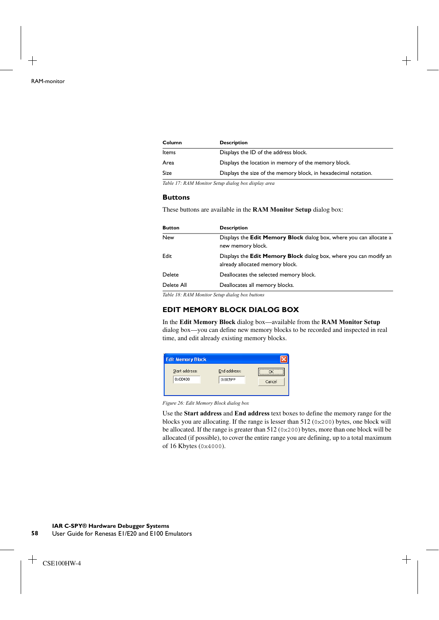| Column | <b>Description</b>                                              |
|--------|-----------------------------------------------------------------|
| Items  | Displays the ID of the address block.                           |
| Area   | Displays the location in memory of the memory block.            |
| Size   | Displays the size of the memory block, in hexadecimal notation. |
| ___    |                                                                 |

*Table 17: RAM Monitor Setup dialog box display area*

### **Buttons**

These buttons are available in the **RAM Monitor Setup** dialog box:

| <b>Button</b> | <b>Description</b>                                                                                    |  |  |
|---------------|-------------------------------------------------------------------------------------------------------|--|--|
| New           | Displays the <b>Edit Memory Block</b> dialog box, where you can allocate a<br>new memory block.       |  |  |
| Edit          | Displays the Edit Memory Block dialog box, where you can modify an<br>already allocated memory block. |  |  |
| Delete        | Deallocates the selected memory block.                                                                |  |  |
| Delete All    | Deallocates all memory blocks.                                                                        |  |  |

*Table 18: RAM Monitor Setup dialog box buttons*

## <span id="page-57-0"></span>**EDIT MEMORY BLOCK DIALOG BOX**

In the **Edit Memory Block** dialog box—available from the **RAM Monitor Setup** dialog box—you can define new memory blocks to be recorded and inspected in real time, and edit already existing memory blocks.

| <b>Edit Memory Block</b>  |                         |        |
|---------------------------|-------------------------|--------|
| Start address:<br>0x00400 | End address:<br>0x005FF | Cancel |

*Figure 26: Edit Memory Block dialog box*

Use the **Start address** and **End address** text boxes to define the memory range for the blocks you are allocating. If the range is lesser than 512 (0x200) bytes, one block will be allocated. If the range is greater than 512 (0x200) bytes, more than one block will be allocated (if possible), to cover the entire range you are defining, up to a total maximum of 16 Kbytes (0x4000).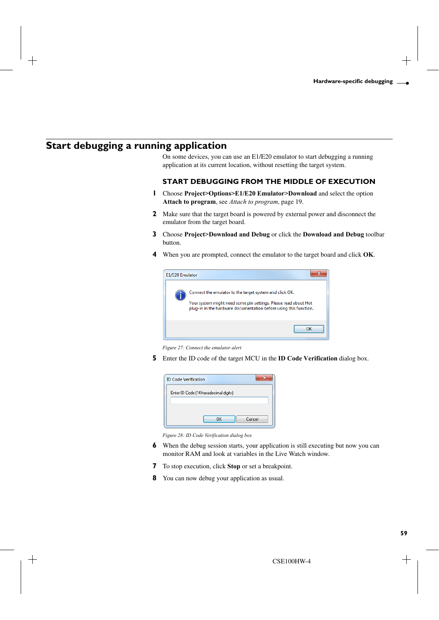## <span id="page-58-0"></span>**Start debugging a running application**

On some devices, you can use an E1/E20 emulator to start debugging a running application at its current location, without resetting the target system.

## <span id="page-58-1"></span>**START DEBUGGING FROM THE MIDDLE OF EXECUTION**

- **1** Choose **Project>Options>E1/E20 Emulator>Download** and select the option **Attach to program**, see *[Attach to program](#page-18-1)*, page 19.
- **2** Make sure that the target board is powered by external power and disconnect the emulator from the target board.
- **3** Choose **Project>Download and Debug** or click the **Download and Debug** toolbar button.
- **4** When you are prompted, connect the emulator to the target board and click **OK**.



*Figure 27: Connect the emulator alert*

**5** Enter the ID code of the target MCU in the **ID Code Verification** dialog box.

| <b>ID Code Verification</b>            |  |  |
|----------------------------------------|--|--|
| Enter ID Code (14 hexadecimal digits): |  |  |
|                                        |  |  |
|                                        |  |  |
| Cancel<br><b>n</b>                     |  |  |

*Figure 28: ID Code Verification dialog box*

- **6** When the debug session starts, your application is still executing but now you can monitor RAM and look at variables in the Live Watch window.
- **7** To stop execution, click **Stop** or set a breakpoint.
- **8** You can now debug your application as usual.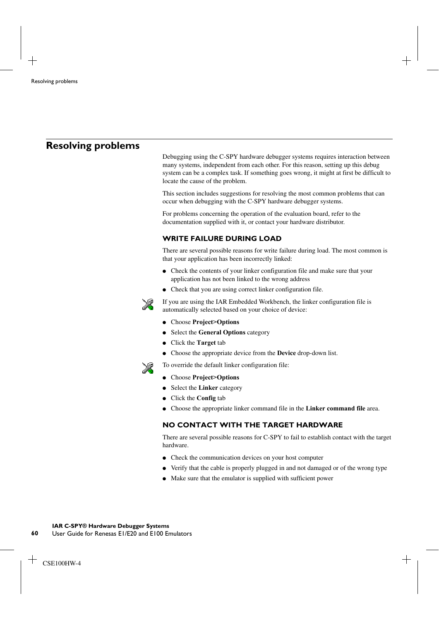## <span id="page-59-0"></span>**Resolving problems**

Debugging using the C-SPY hardware debugger systems requires interaction between many systems, independent from each other. For this reason, setting up this debug system can be a complex task. If something goes wrong, it might at first be difficult to locate the cause of the problem.

This section includes suggestions for resolving the most common problems that can occur when debugging with the C-SPY hardware debugger systems.

For problems concerning the operation of the evaluation board, refer to the documentation supplied with it, or contact your hardware distributor.

## <span id="page-59-1"></span>**WRITE FAILURE DURING LOAD**

There are several possible reasons for write failure during load. The most common is that your application has been incorrectly linked:

- Check the contents of your linker configuration file and make sure that your application has not been linked to the wrong address
- Check that you are using correct linker configuration file.



If you are using the IAR Embedded Workbench, the linker configuration file is automatically selected based on your choice of device:

- Choose **Project>Options**
- Select the **General Options** category
- Click the **Target** tab
- Choose the appropriate device from the **Device** drop-down list.



To override the default linker configuration file:

- Choose **Project>Options**
- Select the **Linker** category
- Click the **Config** tab
- Choose the appropriate linker command file in the **Linker command file** area.

## <span id="page-59-2"></span>**NO CONTACT WITH THE TARGET HARDWARE**

There are several possible reasons for C-SPY to fail to establish contact with the target hardware.

- Check the communication devices on your host computer
- Verify that the cable is properly plugged in and not damaged or of the wrong type
- Make sure that the emulator is supplied with sufficient power